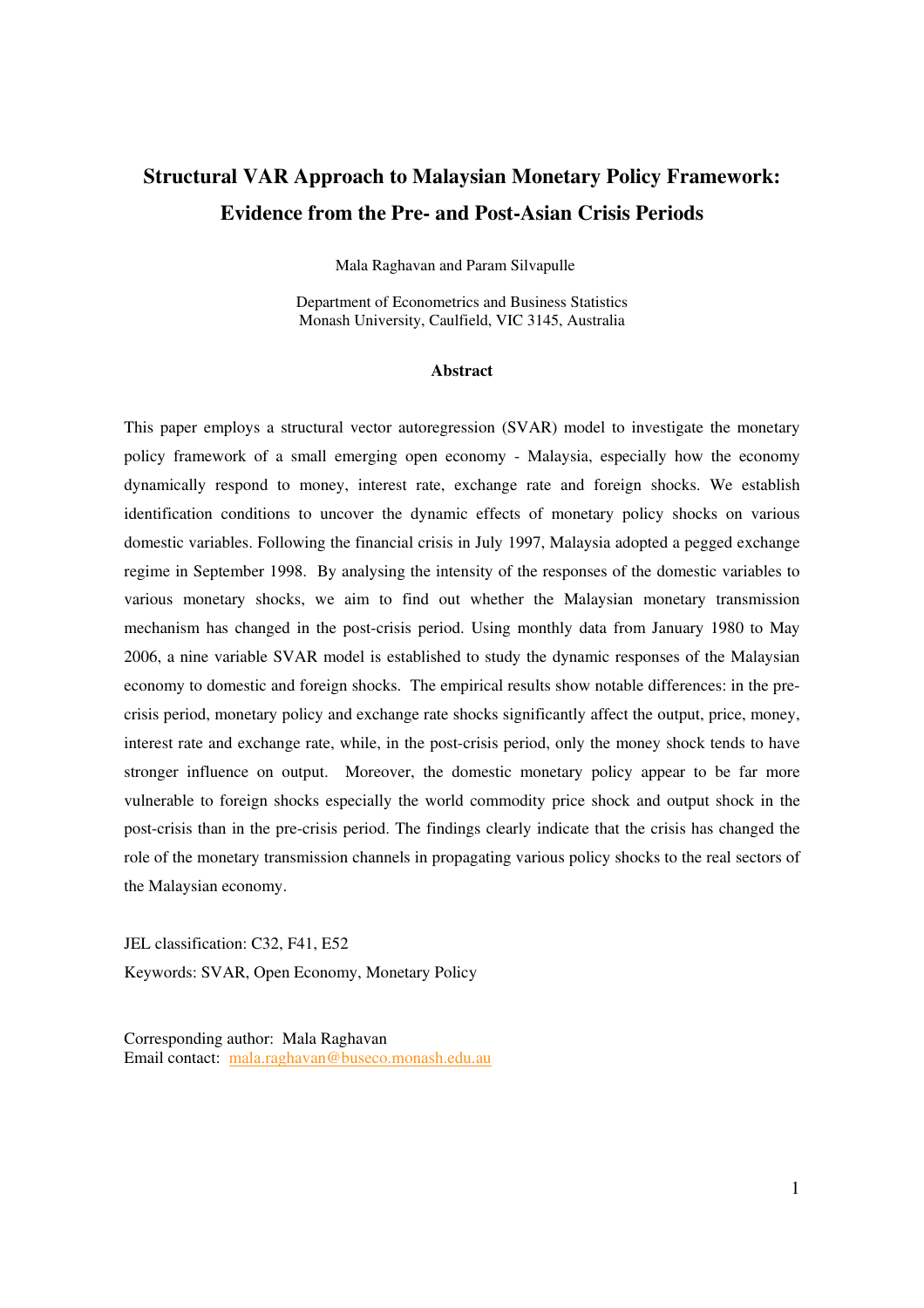# **Structural VAR Approach to Malaysian Monetary Policy Framework: Evidence from the Pre- and Post-Asian Crisis Periods**

Mala Raghavan and Param Silvapulle

Department of Econometrics and Business Statistics Monash University, Caulfield, VIC 3145, Australia

#### **Abstract**

This paper employs a structural vector autoregression (SVAR) model to investigate the monetary policy framework of a small emerging open economy - Malaysia, especially how the economy dynamically respond to money, interest rate, exchange rate and foreign shocks. We establish identification conditions to uncover the dynamic effects of monetary policy shocks on various domestic variables. Following the financial crisis in July 1997, Malaysia adopted a pegged exchange regime in September 1998. By analysing the intensity of the responses of the domestic variables to various monetary shocks, we aim to find out whether the Malaysian monetary transmission mechanism has changed in the post-crisis period. Using monthly data from January 1980 to May 2006, a nine variable SVAR model is established to study the dynamic responses of the Malaysian economy to domestic and foreign shocks. The empirical results show notable differences: in the precrisis period, monetary policy and exchange rate shocks significantly affect the output, price, money, interest rate and exchange rate, while, in the post-crisis period, only the money shock tends to have stronger influence on output. Moreover, the domestic monetary policy appear to be far more vulnerable to foreign shocks especially the world commodity price shock and output shock in the post-crisis than in the pre-crisis period. The findings clearly indicate that the crisis has changed the role of the monetary transmission channels in propagating various policy shocks to the real sectors of the Malaysian economy.

JEL classification: C32, F41, E52 Keywords: SVAR, Open Economy, Monetary Policy

Corresponding author: Mala Raghavan Email contact: mala.raghavan@buseco.monash.edu.au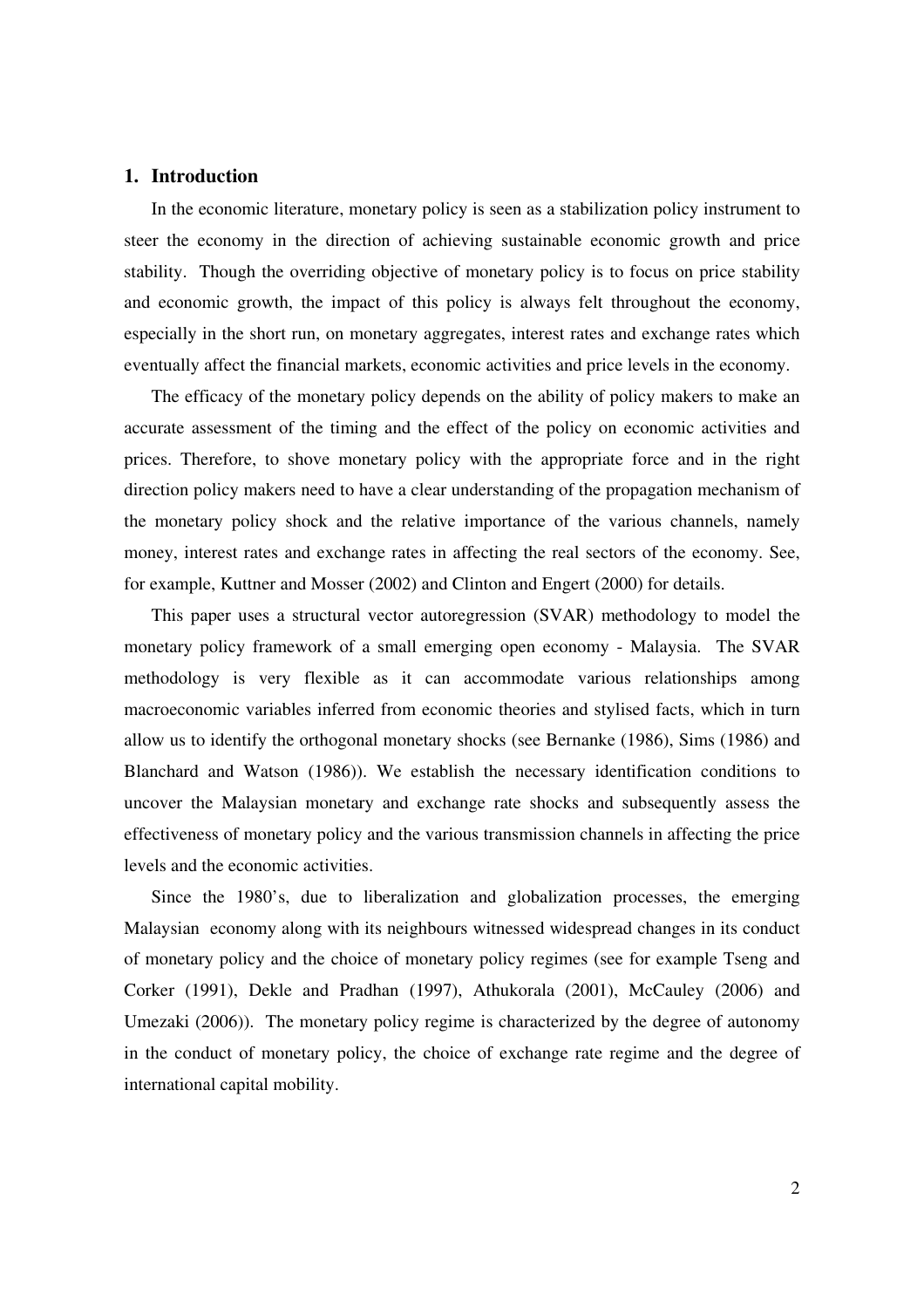## **1. Introduction**

In the economic literature, monetary policy is seen as a stabilization policy instrument to steer the economy in the direction of achieving sustainable economic growth and price stability. Though the overriding objective of monetary policy is to focus on price stability and economic growth, the impact of this policy is always felt throughout the economy, especially in the short run, on monetary aggregates, interest rates and exchange rates which eventually affect the financial markets, economic activities and price levels in the economy.

The efficacy of the monetary policy depends on the ability of policy makers to make an accurate assessment of the timing and the effect of the policy on economic activities and prices. Therefore, to shove monetary policy with the appropriate force and in the right direction policy makers need to have a clear understanding of the propagation mechanism of the monetary policy shock and the relative importance of the various channels, namely money, interest rates and exchange rates in affecting the real sectors of the economy. See, for example, Kuttner and Mosser (2002) and Clinton and Engert (2000) for details.

This paper uses a structural vector autoregression (SVAR) methodology to model the monetary policy framework of a small emerging open economy - Malaysia. The SVAR methodology is very flexible as it can accommodate various relationships among macroeconomic variables inferred from economic theories and stylised facts, which in turn allow us to identify the orthogonal monetary shocks (see Bernanke (1986), Sims (1986) and Blanchard and Watson (1986)). We establish the necessary identification conditions to uncover the Malaysian monetary and exchange rate shocks and subsequently assess the effectiveness of monetary policy and the various transmission channels in affecting the price levels and the economic activities.

Since the 1980's, due to liberalization and globalization processes, the emerging Malaysian economy along with its neighbours witnessed widespread changes in its conduct of monetary policy and the choice of monetary policy regimes (see for example Tseng and Corker (1991), Dekle and Pradhan (1997), Athukorala (2001), McCauley (2006) and Umezaki (2006)). The monetary policy regime is characterized by the degree of autonomy in the conduct of monetary policy, the choice of exchange rate regime and the degree of international capital mobility.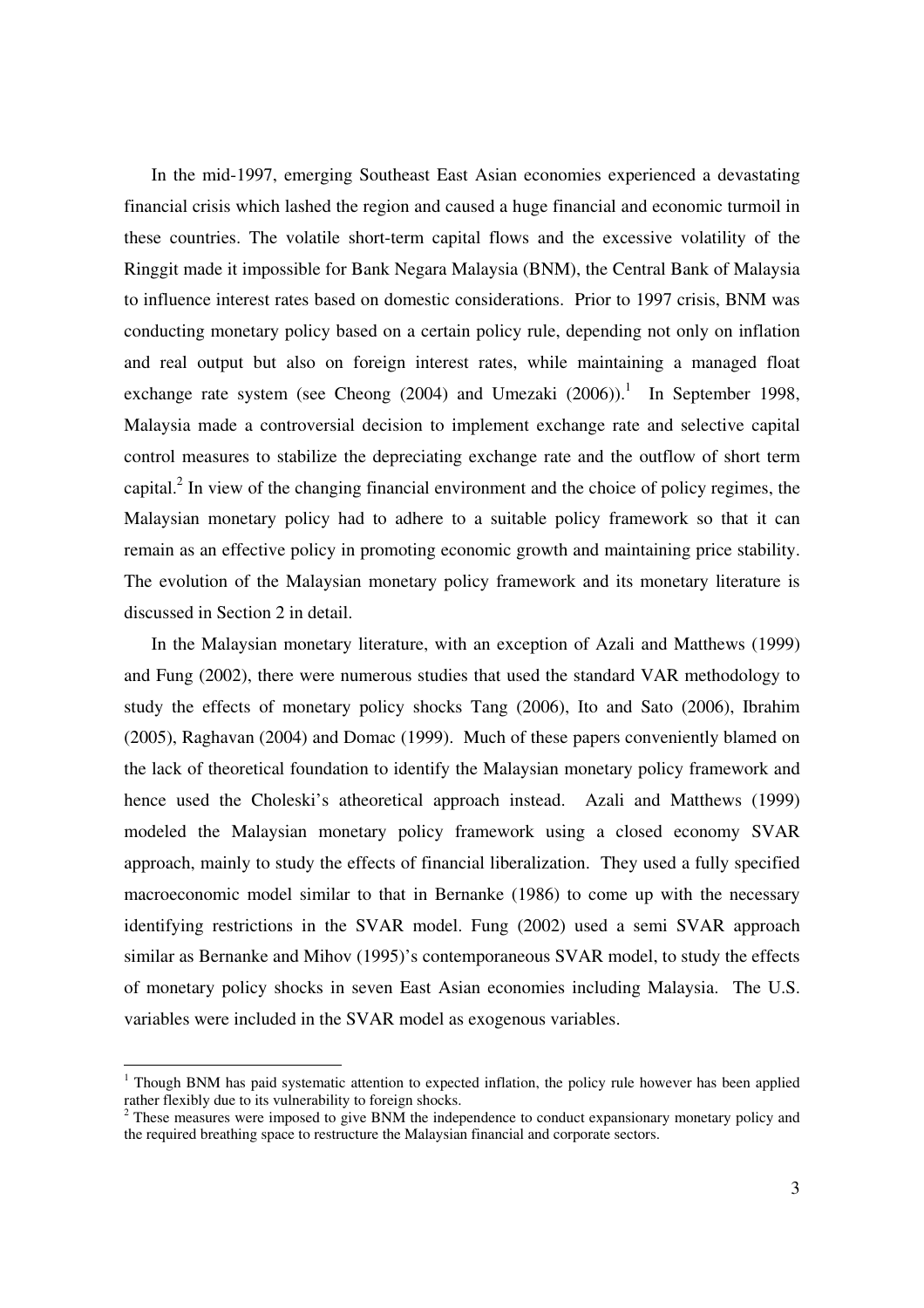In the mid-1997, emerging Southeast East Asian economies experienced a devastating financial crisis which lashed the region and caused a huge financial and economic turmoil in these countries. The volatile short-term capital flows and the excessive volatility of the Ringgit made it impossible for Bank Negara Malaysia (BNM), the Central Bank of Malaysia to influence interest rates based on domestic considerations. Prior to 1997 crisis, BNM was conducting monetary policy based on a certain policy rule, depending not only on inflation and real output but also on foreign interest rates, while maintaining a managed float exchange rate system (see Cheong  $(2004)$  and Umezaki  $(2006)$ ).<sup>1</sup> In September 1998, Malaysia made a controversial decision to implement exchange rate and selective capital control measures to stabilize the depreciating exchange rate and the outflow of short term capital.<sup>2</sup> In view of the changing financial environment and the choice of policy regimes, the Malaysian monetary policy had to adhere to a suitable policy framework so that it can remain as an effective policy in promoting economic growth and maintaining price stability. The evolution of the Malaysian monetary policy framework and its monetary literature is discussed in Section 2 in detail.

In the Malaysian monetary literature, with an exception of Azali and Matthews (1999) and Fung (2002), there were numerous studies that used the standard VAR methodology to study the effects of monetary policy shocks Tang (2006), Ito and Sato (2006), Ibrahim (2005), Raghavan (2004) and Domac (1999). Much of these papers conveniently blamed on the lack of theoretical foundation to identify the Malaysian monetary policy framework and hence used the Choleski's atheoretical approach instead. Azali and Matthews (1999) modeled the Malaysian monetary policy framework using a closed economy SVAR approach, mainly to study the effects of financial liberalization. They used a fully specified macroeconomic model similar to that in Bernanke (1986) to come up with the necessary identifying restrictions in the SVAR model. Fung (2002) used a semi SVAR approach similar as Bernanke and Mihov (1995)'s contemporaneous SVAR model, to study the effects of monetary policy shocks in seven East Asian economies including Malaysia. The U.S. variables were included in the SVAR model as exogenous variables.

<sup>1</sup> Though BNM has paid systematic attention to expected inflation, the policy rule however has been applied rather flexibly due to its vulnerability to foreign shocks.

 $2$  These measures were imposed to give BNM the independence to conduct expansionary monetary policy and the required breathing space to restructure the Malaysian financial and corporate sectors.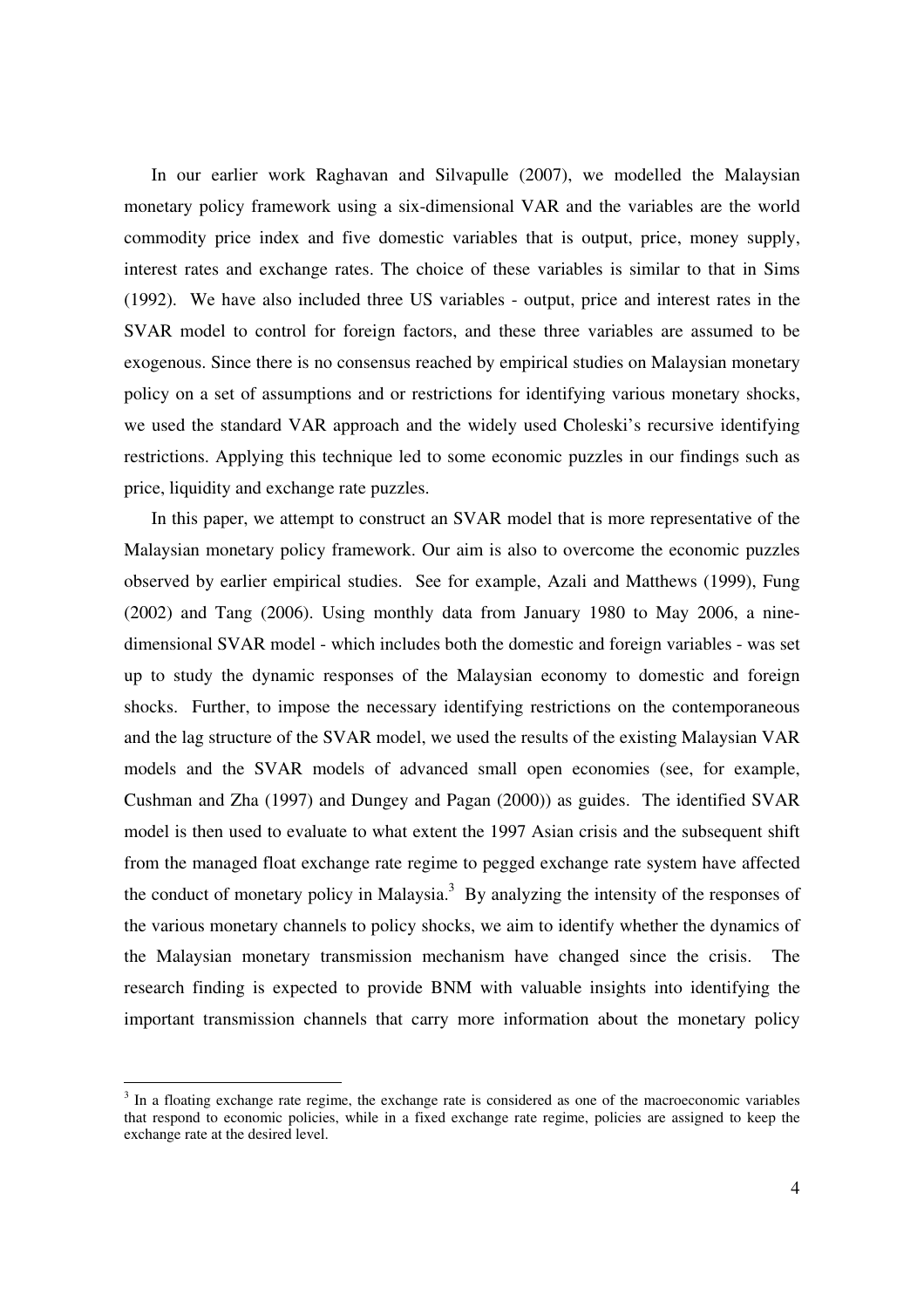In our earlier work Raghavan and Silvapulle (2007), we modelled the Malaysian monetary policy framework using a six-dimensional VAR and the variables are the world commodity price index and five domestic variables that is output, price, money supply, interest rates and exchange rates. The choice of these variables is similar to that in Sims (1992). We have also included three US variables - output, price and interest rates in the SVAR model to control for foreign factors, and these three variables are assumed to be exogenous. Since there is no consensus reached by empirical studies on Malaysian monetary policy on a set of assumptions and or restrictions for identifying various monetary shocks, we used the standard VAR approach and the widely used Choleski's recursive identifying restrictions. Applying this technique led to some economic puzzles in our findings such as price, liquidity and exchange rate puzzles.

In this paper, we attempt to construct an SVAR model that is more representative of the Malaysian monetary policy framework. Our aim is also to overcome the economic puzzles observed by earlier empirical studies. See for example, Azali and Matthews (1999), Fung (2002) and Tang (2006). Using monthly data from January 1980 to May 2006, a ninedimensional SVAR model - which includes both the domestic and foreign variables - was set up to study the dynamic responses of the Malaysian economy to domestic and foreign shocks. Further, to impose the necessary identifying restrictions on the contemporaneous and the lag structure of the SVAR model, we used the results of the existing Malaysian VAR models and the SVAR models of advanced small open economies (see, for example, Cushman and Zha (1997) and Dungey and Pagan (2000)) as guides. The identified SVAR model is then used to evaluate to what extent the 1997 Asian crisis and the subsequent shift from the managed float exchange rate regime to pegged exchange rate system have affected the conduct of monetary policy in Malaysia.<sup>3</sup> By analyzing the intensity of the responses of the various monetary channels to policy shocks, we aim to identify whether the dynamics of the Malaysian monetary transmission mechanism have changed since the crisis. The research finding is expected to provide BNM with valuable insights into identifying the important transmission channels that carry more information about the monetary policy

<sup>&</sup>lt;sup>3</sup> In a floating exchange rate regime, the exchange rate is considered as one of the macroeconomic variables that respond to economic policies, while in a fixed exchange rate regime, policies are assigned to keep the exchange rate at the desired level.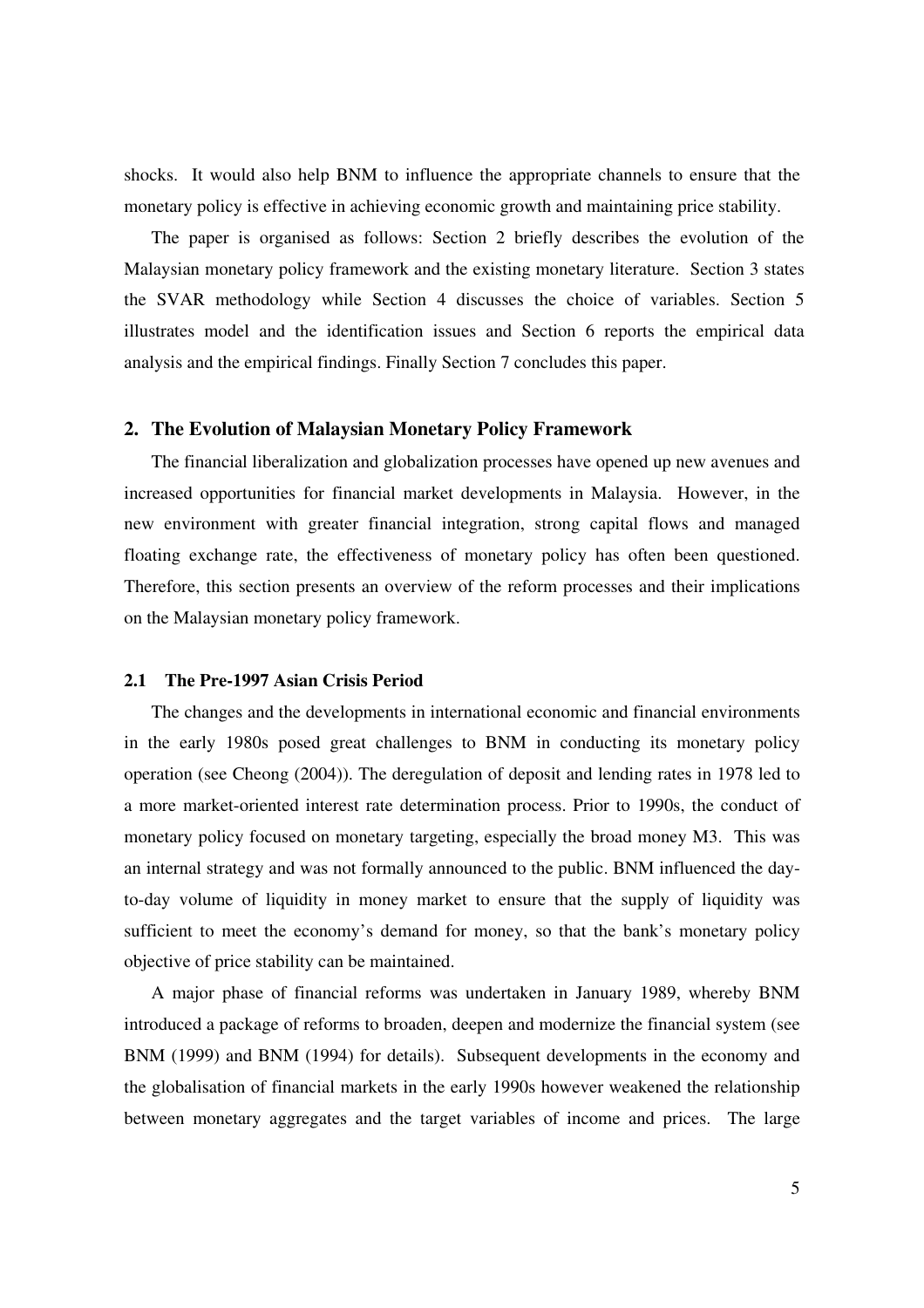shocks. It would also help BNM to influence the appropriate channels to ensure that the monetary policy is effective in achieving economic growth and maintaining price stability.

The paper is organised as follows: Section 2 briefly describes the evolution of the Malaysian monetary policy framework and the existing monetary literature. Section 3 states the SVAR methodology while Section 4 discusses the choice of variables. Section 5 illustrates model and the identification issues and Section 6 reports the empirical data analysis and the empirical findings. Finally Section 7 concludes this paper.

### **2. The Evolution of Malaysian Monetary Policy Framework**

The financial liberalization and globalization processes have opened up new avenues and increased opportunities for financial market developments in Malaysia. However, in the new environment with greater financial integration, strong capital flows and managed floating exchange rate, the effectiveness of monetary policy has often been questioned. Therefore, this section presents an overview of the reform processes and their implications on the Malaysian monetary policy framework.

### **2.1 The Pre-1997 Asian Crisis Period**

The changes and the developments in international economic and financial environments in the early 1980s posed great challenges to BNM in conducting its monetary policy operation (see Cheong (2004)). The deregulation of deposit and lending rates in 1978 led to a more market-oriented interest rate determination process. Prior to 1990s, the conduct of monetary policy focused on monetary targeting, especially the broad money M3. This was an internal strategy and was not formally announced to the public. BNM influenced the dayto-day volume of liquidity in money market to ensure that the supply of liquidity was sufficient to meet the economy's demand for money, so that the bank's monetary policy objective of price stability can be maintained.

A major phase of financial reforms was undertaken in January 1989, whereby BNM introduced a package of reforms to broaden, deepen and modernize the financial system (see BNM (1999) and BNM (1994) for details). Subsequent developments in the economy and the globalisation of financial markets in the early 1990s however weakened the relationship between monetary aggregates and the target variables of income and prices. The large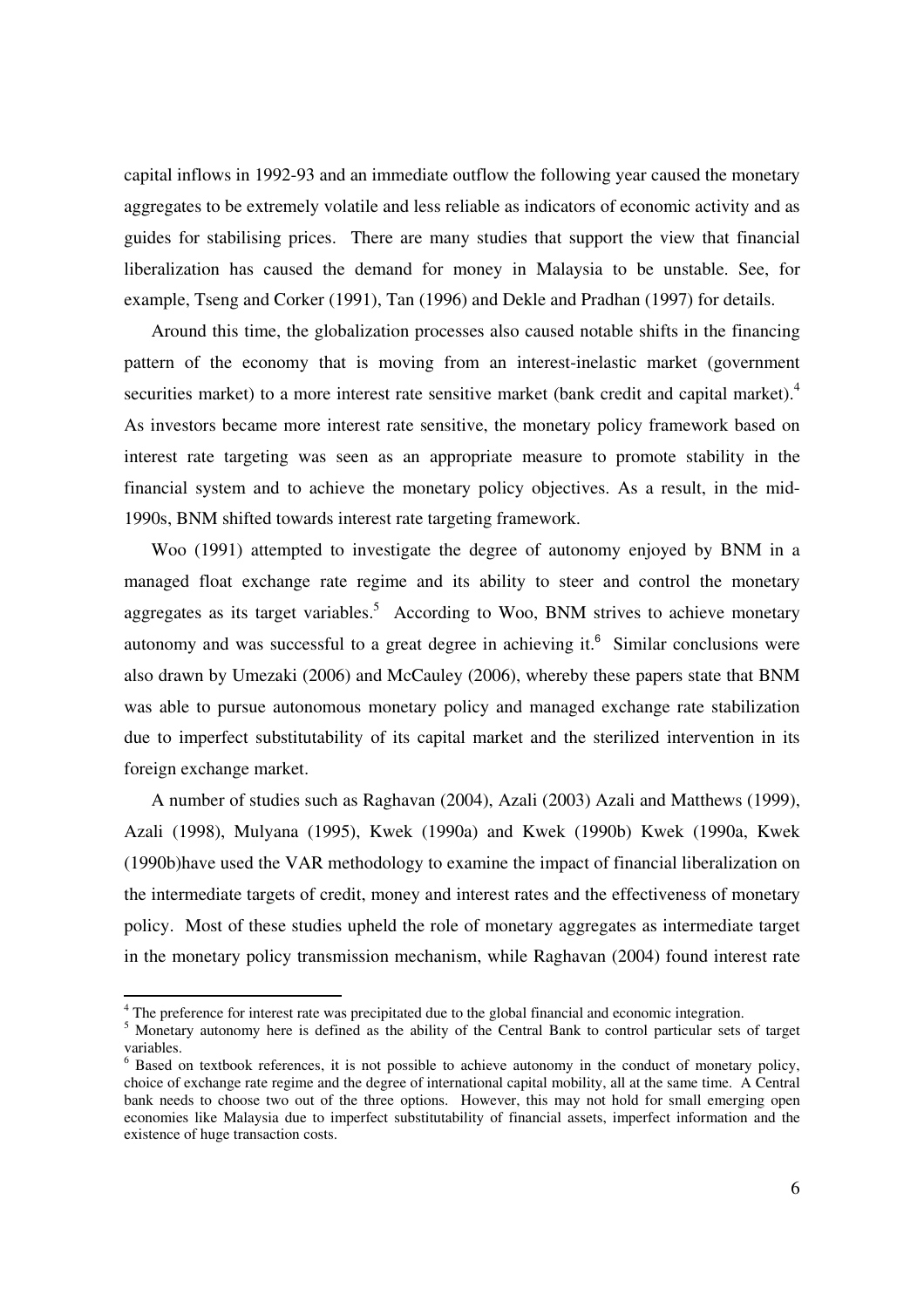capital inflows in 1992-93 and an immediate outflow the following year caused the monetary aggregates to be extremely volatile and less reliable as indicators of economic activity and as guides for stabilising prices. There are many studies that support the view that financial liberalization has caused the demand for money in Malaysia to be unstable. See, for example, Tseng and Corker (1991), Tan (1996) and Dekle and Pradhan (1997) for details.

Around this time, the globalization processes also caused notable shifts in the financing pattern of the economy that is moving from an interest-inelastic market (government securities market) to a more interest rate sensitive market (bank credit and capital market).<sup>4</sup> As investors became more interest rate sensitive, the monetary policy framework based on interest rate targeting was seen as an appropriate measure to promote stability in the financial system and to achieve the monetary policy objectives. As a result, in the mid-1990s, BNM shifted towards interest rate targeting framework.

Woo (1991) attempted to investigate the degree of autonomy enjoyed by BNM in a managed float exchange rate regime and its ability to steer and control the monetary aggregates as its target variables.<sup>5</sup> According to Woo, BNM strives to achieve monetary autonomy and was successful to a great degree in achieving it. $6$  Similar conclusions were also drawn by Umezaki (2006) and McCauley (2006), whereby these papers state that BNM was able to pursue autonomous monetary policy and managed exchange rate stabilization due to imperfect substitutability of its capital market and the sterilized intervention in its foreign exchange market.

A number of studies such as Raghavan (2004), Azali (2003) Azali and Matthews (1999), Azali (1998), Mulyana (1995), Kwek (1990a) and Kwek (1990b) Kwek (1990a, Kwek (1990b)have used the VAR methodology to examine the impact of financial liberalization on the intermediate targets of credit, money and interest rates and the effectiveness of monetary policy. Most of these studies upheld the role of monetary aggregates as intermediate target in the monetary policy transmission mechanism, while Raghavan (2004) found interest rate

<sup>&</sup>lt;sup>4</sup> The preference for interest rate was precipitated due to the global financial and economic integration.

<sup>&</sup>lt;sup>5</sup> Monetary autonomy here is defined as the ability of the Central Bank to control particular sets of target variables.

<sup>&</sup>lt;sup>6</sup> Based on textbook references, it is not possible to achieve autonomy in the conduct of monetary policy, choice of exchange rate regime and the degree of international capital mobility, all at the same time. A Central bank needs to choose two out of the three options. However, this may not hold for small emerging open economies like Malaysia due to imperfect substitutability of financial assets, imperfect information and the existence of huge transaction costs.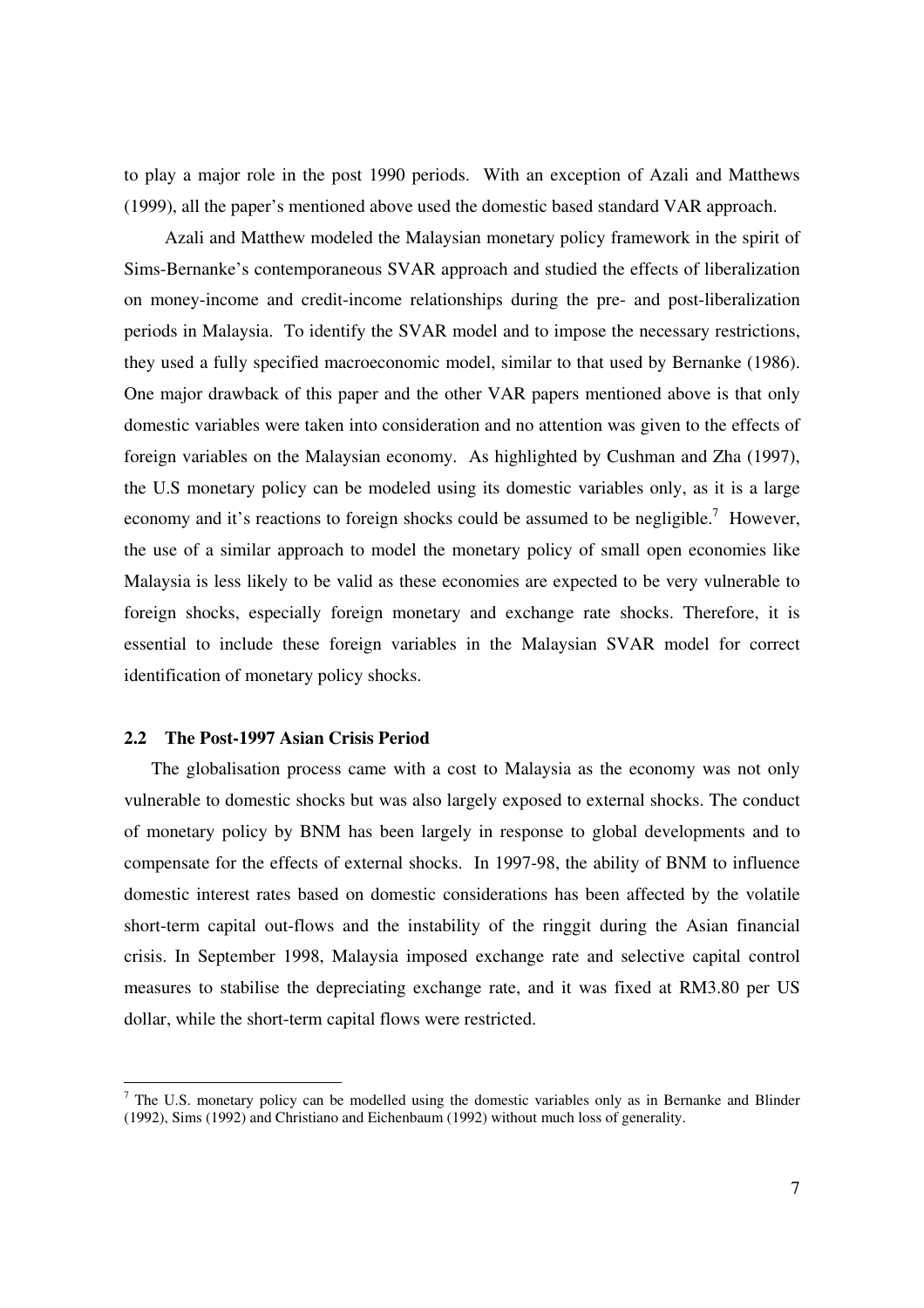to play a major role in the post 1990 periods. With an exception of Azali and Matthews (1999), all the paper's mentioned above used the domestic based standard VAR approach.

Azali and Matthew modeled the Malaysian monetary policy framework in the spirit of Sims-Bernanke's contemporaneous SVAR approach and studied the effects of liberalization on money-income and credit-income relationships during the pre- and post-liberalization periods in Malaysia. To identify the SVAR model and to impose the necessary restrictions, they used a fully specified macroeconomic model, similar to that used by Bernanke (1986). One major drawback of this paper and the other VAR papers mentioned above is that only domestic variables were taken into consideration and no attention was given to the effects of foreign variables on the Malaysian economy. As highlighted by Cushman and Zha (1997), the U.S monetary policy can be modeled using its domestic variables only, as it is a large economy and it's reactions to foreign shocks could be assumed to be negligible.<sup>7</sup> However, the use of a similar approach to model the monetary policy of small open economies like Malaysia is less likely to be valid as these economies are expected to be very vulnerable to foreign shocks, especially foreign monetary and exchange rate shocks. Therefore, it is essential to include these foreign variables in the Malaysian SVAR model for correct identification of monetary policy shocks.

#### **2.2 The Post-1997 Asian Crisis Period**

 $\overline{a}$ 

The globalisation process came with a cost to Malaysia as the economy was not only vulnerable to domestic shocks but was also largely exposed to external shocks. The conduct of monetary policy by BNM has been largely in response to global developments and to compensate for the effects of external shocks. In 1997-98, the ability of BNM to influence domestic interest rates based on domestic considerations has been affected by the volatile short-term capital out-flows and the instability of the ringgit during the Asian financial crisis. In September 1998, Malaysia imposed exchange rate and selective capital control measures to stabilise the depreciating exchange rate, and it was fixed at RM3.80 per US dollar, while the short-term capital flows were restricted.

 $<sup>7</sup>$  The U.S. monetary policy can be modelled using the domestic variables only as in Bernanke and Blinder</sup> (1992), Sims (1992) and Christiano and Eichenbaum (1992) without much loss of generality.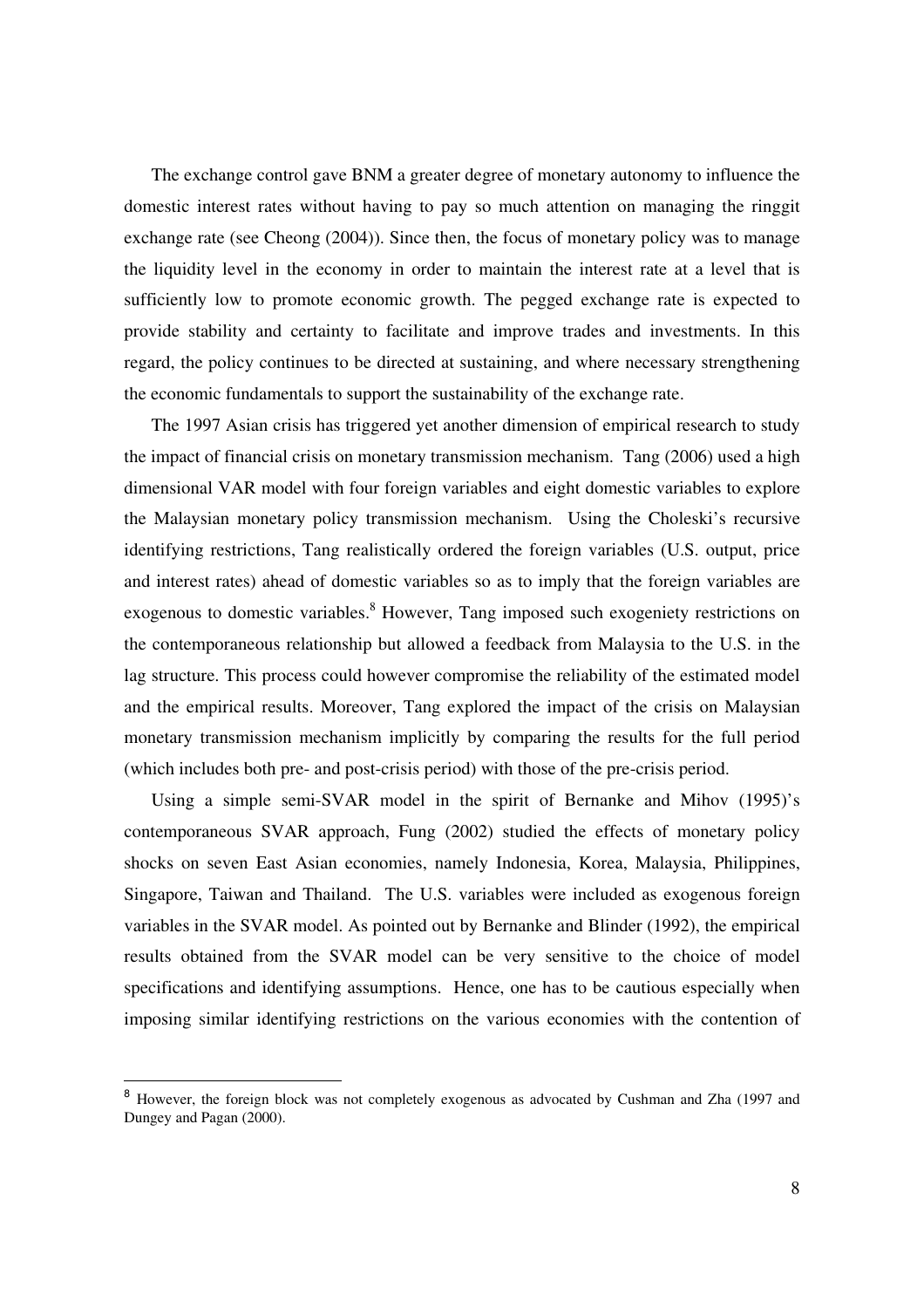The exchange control gave BNM a greater degree of monetary autonomy to influence the domestic interest rates without having to pay so much attention on managing the ringgit exchange rate (see Cheong (2004)). Since then, the focus of monetary policy was to manage the liquidity level in the economy in order to maintain the interest rate at a level that is sufficiently low to promote economic growth. The pegged exchange rate is expected to provide stability and certainty to facilitate and improve trades and investments. In this regard, the policy continues to be directed at sustaining, and where necessary strengthening the economic fundamentals to support the sustainability of the exchange rate.

The 1997 Asian crisis has triggered yet another dimension of empirical research to study the impact of financial crisis on monetary transmission mechanism. Tang (2006) used a high dimensional VAR model with four foreign variables and eight domestic variables to explore the Malaysian monetary policy transmission mechanism. Using the Choleski's recursive identifying restrictions, Tang realistically ordered the foreign variables (U.S. output, price and interest rates) ahead of domestic variables so as to imply that the foreign variables are exogenous to domestic variables.<sup>8</sup> However, Tang imposed such exogeniety restrictions on the contemporaneous relationship but allowed a feedback from Malaysia to the U.S. in the lag structure. This process could however compromise the reliability of the estimated model and the empirical results. Moreover, Tang explored the impact of the crisis on Malaysian monetary transmission mechanism implicitly by comparing the results for the full period (which includes both pre- and post-crisis period) with those of the pre-crisis period.

Using a simple semi-SVAR model in the spirit of Bernanke and Mihov (1995)'s contemporaneous SVAR approach, Fung (2002) studied the effects of monetary policy shocks on seven East Asian economies, namely Indonesia, Korea, Malaysia, Philippines, Singapore, Taiwan and Thailand. The U.S. variables were included as exogenous foreign variables in the SVAR model. As pointed out by Bernanke and Blinder (1992), the empirical results obtained from the SVAR model can be very sensitive to the choice of model specifications and identifying assumptions. Hence, one has to be cautious especially when imposing similar identifying restrictions on the various economies with the contention of

<sup>&</sup>lt;sup>8</sup> However, the foreign block was not completely exogenous as advocated by Cushman and Zha (1997 and Dungey and Pagan (2000).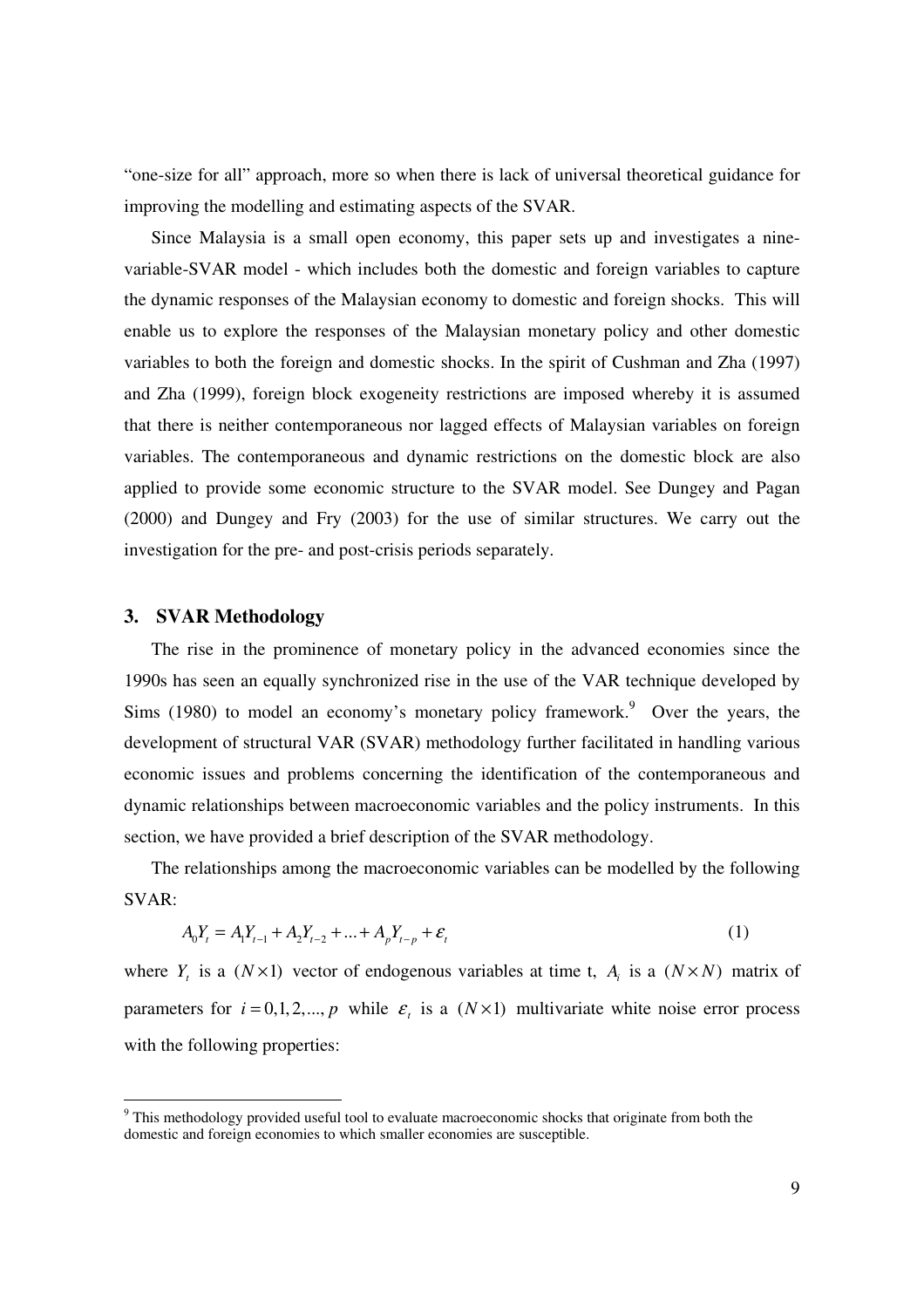"one-size for all" approach, more so when there is lack of universal theoretical guidance for improving the modelling and estimating aspects of the SVAR.

Since Malaysia is a small open economy, this paper sets up and investigates a ninevariable-SVAR model - which includes both the domestic and foreign variables to capture the dynamic responses of the Malaysian economy to domestic and foreign shocks. This will enable us to explore the responses of the Malaysian monetary policy and other domestic variables to both the foreign and domestic shocks. In the spirit of Cushman and Zha (1997) and Zha (1999), foreign block exogeneity restrictions are imposed whereby it is assumed that there is neither contemporaneous nor lagged effects of Malaysian variables on foreign variables. The contemporaneous and dynamic restrictions on the domestic block are also applied to provide some economic structure to the SVAR model. See Dungey and Pagan (2000) and Dungey and Fry (2003) for the use of similar structures. We carry out the investigation for the pre- and post-crisis periods separately.

## **3. SVAR Methodology**

 $\overline{a}$ 

The rise in the prominence of monetary policy in the advanced economies since the 1990s has seen an equally synchronized rise in the use of the VAR technique developed by Sims  $(1980)$  to model an economy's monetary policy framework.<sup>9</sup> Over the years, the development of structural VAR (SVAR) methodology further facilitated in handling various economic issues and problems concerning the identification of the contemporaneous and dynamic relationships between macroeconomic variables and the policy instruments. In this section, we have provided a brief description of the SVAR methodology.

The relationships among the macroeconomic variables can be modelled by the following SVAR:

$$
A_0 Y_t = A_1 Y_{t-1} + A_2 Y_{t-2} + \dots + A_p Y_{t-p} + \varepsilon_t
$$
\n(1)

where  $Y_t$  is a ( $N \times 1$ ) vector of endogenous variables at time t,  $A_t$  is a ( $N \times N$ ) matrix of parameters for  $i = 0, 1, 2, ..., p$  while  $\varepsilon_i$  is a  $(N \times 1)$  multivariate white noise error process with the following properties:

<sup>&</sup>lt;sup>9</sup> This methodology provided useful tool to evaluate macroeconomic shocks that originate from both the domestic and foreign economies to which smaller economies are susceptible.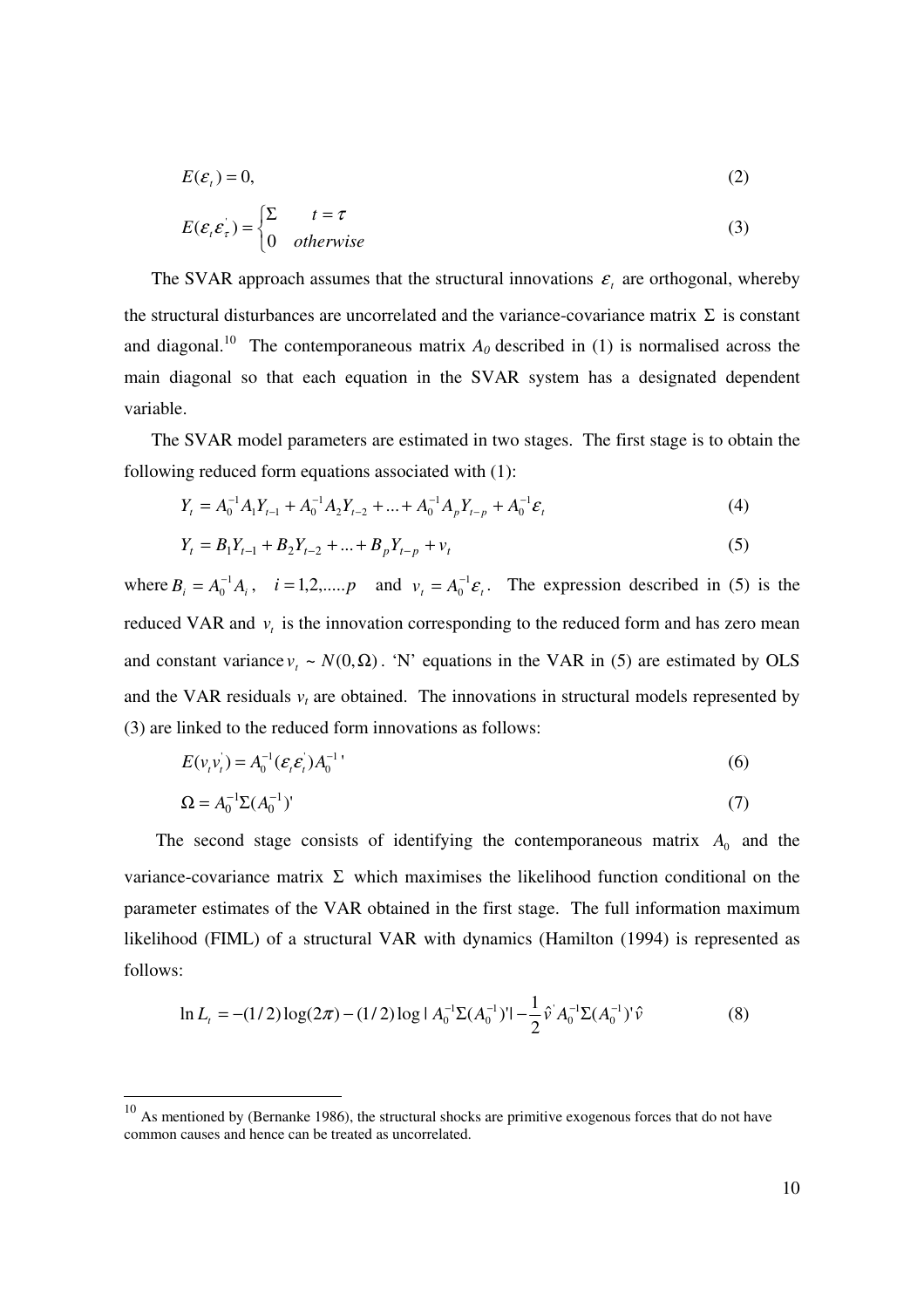$$
E(\mathcal{E}_t) = 0,\tag{2}
$$

$$
E(\varepsilon_{t}\varepsilon_{\tau}) = \begin{cases} \Sigma & t = \tau \\ 0 & otherwise \end{cases}
$$
 (3)

The SVAR approach assumes that the structural innovations  $\varepsilon$ <sub>i</sub> are orthogonal, whereby the structural disturbances are uncorrelated and the variance-covariance matrix  $\Sigma$  is constant and diagonal.<sup>10</sup> The contemporaneous matrix  $A_0$  described in (1) is normalised across the main diagonal so that each equation in the SVAR system has a designated dependent variable.

The SVAR model parameters are estimated in two stages. The first stage is to obtain the following reduced form equations associated with (1):

$$
Y_t = A_0^{-1} A_1 Y_{t-1} + A_0^{-1} A_2 Y_{t-2} + \dots + A_0^{-1} A_p Y_{t-p} + A_0^{-1} \varepsilon_t
$$
\n<sup>(4)</sup>

$$
Y_t = B_1 Y_{t-1} + B_2 Y_{t-2} + \dots + B_p Y_{t-p} + v_t
$$
\n<sup>(5)</sup>

where  $B_i = A_0^{-1} A_i$ 0  $A_0^{-1}A_i$ ,  $i = 1, 2, \dots, p$  and  $v_t = A_0^{-1} \varepsilon_t$  $\boldsymbol{0}$  $=A_0^{-1}\varepsilon_t$ . The expression described in (5) is the reduced VAR and  $v_t$  is the innovation corresponding to the reduced form and has zero mean and constant variance  $v_t \sim N(0, \Omega)$ . 'N' equations in the VAR in (5) are estimated by OLS and the VAR residuals  $v_t$  are obtained. The innovations in structural models represented by (3) are linked to the reduced form innovations as follows:

$$
E(v_i v_i) = A_0^{-1} (\varepsilon_i \varepsilon_i) A_0^{-1}
$$
\n(6)

$$
\Omega = A_0^{-1} \Sigma (A_0^{-1})' \tag{7}
$$

The second stage consists of identifying the contemporaneous matrix  $A_0$  and the variance-covariance matrix  $\Sigma$  which maximises the likelihood function conditional on the parameter estimates of the VAR obtained in the first stage. The full information maximum likelihood (FIML) of a structural VAR with dynamics (Hamilton (1994) is represented as follows:

$$
\ln L_t = -(1/2)\log(2\pi) - (1/2)\log|A_0^{-1}\Sigma(A_0^{-1})| - \frac{1}{2}\hat{v}A_0^{-1}\Sigma(A_0^{-1})'\hat{v}
$$
\n(8)

 $10$  As mentioned by (Bernanke 1986), the structural shocks are primitive exogenous forces that do not have common causes and hence can be treated as uncorrelated.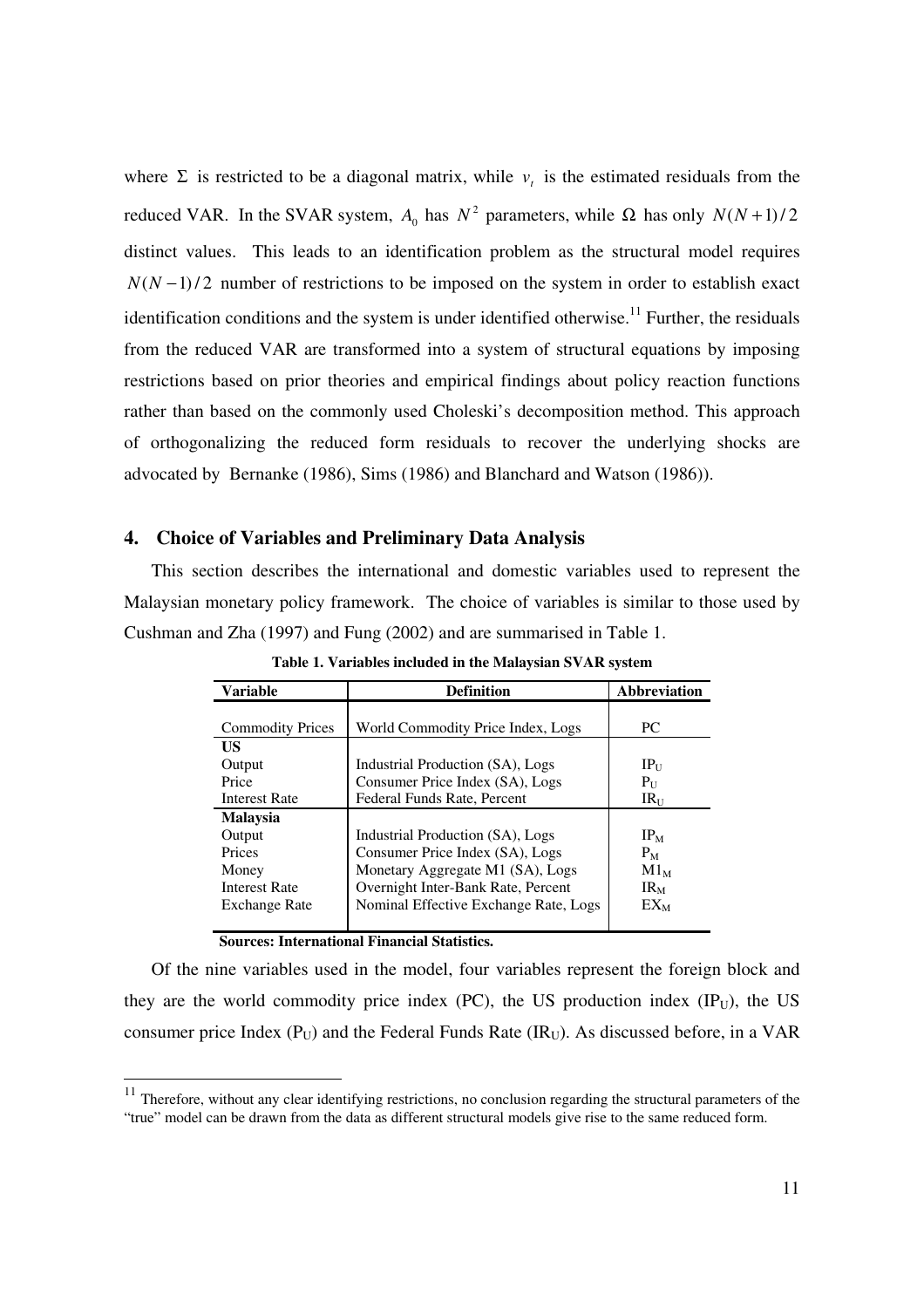where  $\Sigma$  is restricted to be a diagonal matrix, while  $v_t$  is the estimated residuals from the reduced VAR. In the SVAR system,  $A_0$  has  $N^2$  parameters, while  $\Omega$  has only  $N(N+1)/2$ distinct values. This leads to an identification problem as the structural model requires  $N(N-1)/2$  number of restrictions to be imposed on the system in order to establish exact identification conditions and the system is under identified otherwise.<sup>11</sup> Further, the residuals from the reduced VAR are transformed into a system of structural equations by imposing restrictions based on prior theories and empirical findings about policy reaction functions rather than based on the commonly used Choleski's decomposition method. This approach of orthogonalizing the reduced form residuals to recover the underlying shocks are advocated by Bernanke (1986), Sims (1986) and Blanchard and Watson (1986)).

# **4. Choice of Variables and Preliminary Data Analysis**

This section describes the international and domestic variables used to represent the Malaysian monetary policy framework. The choice of variables is similar to those used by Cushman and Zha (1997) and Fung (2002) and are summarised in Table 1.

| <b>Variable</b>         | <b>Definition</b>                     |                 |  |  |  |  |  |
|-------------------------|---------------------------------------|-----------------|--|--|--|--|--|
|                         |                                       |                 |  |  |  |  |  |
| <b>Commodity Prices</b> | World Commodity Price Index, Logs     | PC              |  |  |  |  |  |
| US                      |                                       |                 |  |  |  |  |  |
| Output                  | Industrial Production (SA), Logs      | $IP_{U}$        |  |  |  |  |  |
| Price                   | Consumer Price Index (SA), Logs       | $P_{\rm U}$     |  |  |  |  |  |
| <b>Interest Rate</b>    | Federal Funds Rate, Percent           | $IR_{II}$       |  |  |  |  |  |
| <b>Malaysia</b>         |                                       |                 |  |  |  |  |  |
| Output                  | Industrial Production (SA), Logs      | IP <sub>M</sub> |  |  |  |  |  |
| Prices                  | Consumer Price Index (SA), Logs       | $P_M$           |  |  |  |  |  |
| Money                   | Monetary Aggregate M1 (SA), Logs      | $M1_M$          |  |  |  |  |  |
| <b>Interest Rate</b>    | Overnight Inter-Bank Rate, Percent    | $IR_{M}$        |  |  |  |  |  |
| <b>Exchange Rate</b>    | Nominal Effective Exchange Rate, Logs | $EX_{M}$        |  |  |  |  |  |
|                         |                                       |                 |  |  |  |  |  |

**Table 1. Variables included in the Malaysian SVAR system** 

# **Sources: International Financial Statistics.**

 $\overline{a}$ 

Of the nine variables used in the model, four variables represent the foreign block and they are the world commodity price index (PC), the US production index  $(\text{IP}_U)$ , the US consumer price Index ( $P_U$ ) and the Federal Funds Rate ( $IR_U$ ). As discussed before, in a VAR

 $11$  Therefore, without any clear identifying restrictions, no conclusion regarding the structural parameters of the "true" model can be drawn from the data as different structural models give rise to the same reduced form.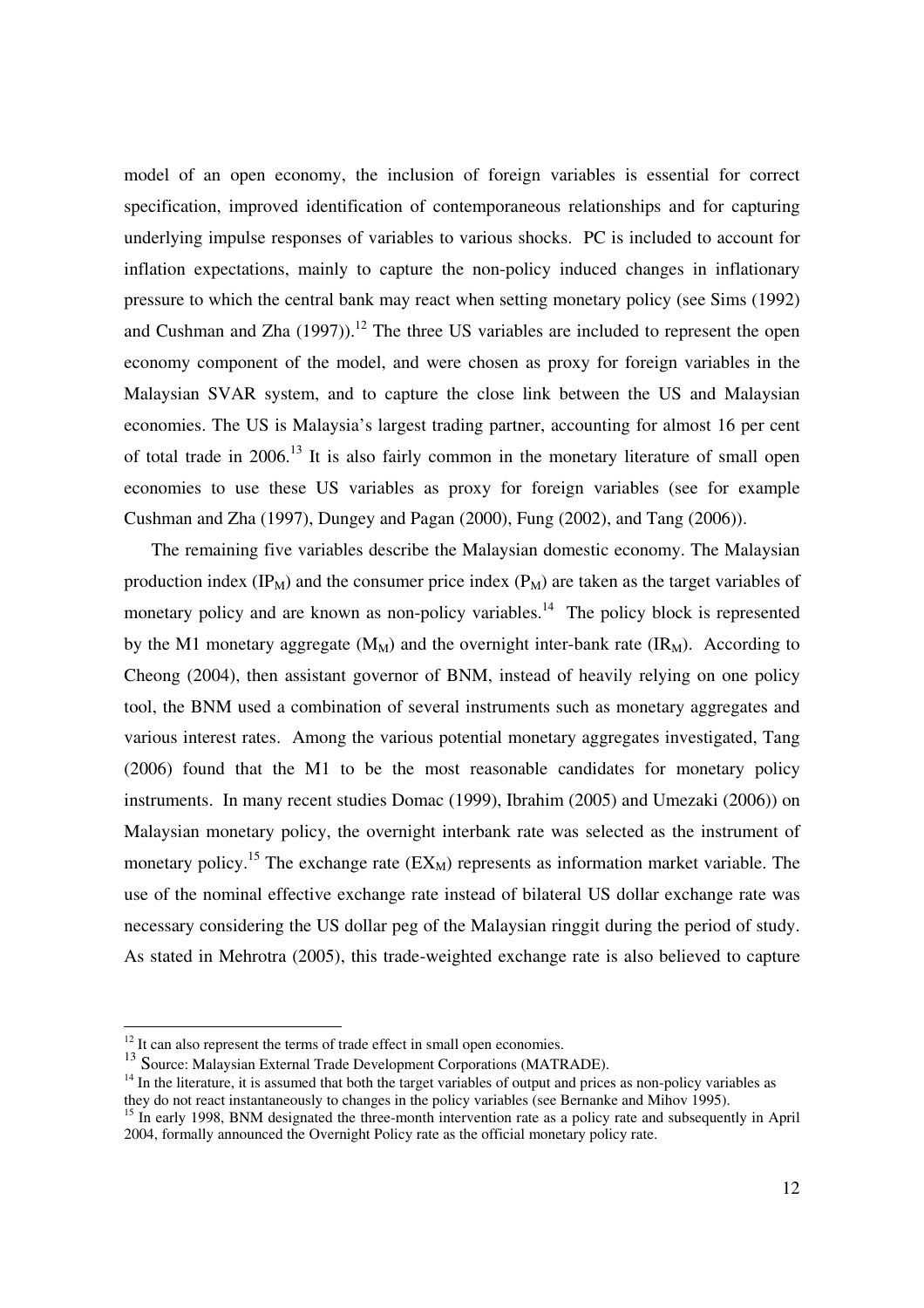model of an open economy, the inclusion of foreign variables is essential for correct specification, improved identification of contemporaneous relationships and for capturing underlying impulse responses of variables to various shocks. PC is included to account for inflation expectations, mainly to capture the non-policy induced changes in inflationary pressure to which the central bank may react when setting monetary policy (see Sims (1992) and Cushman and Zha  $(1997)$ .<sup>12</sup> The three US variables are included to represent the open economy component of the model, and were chosen as proxy for foreign variables in the Malaysian SVAR system, and to capture the close link between the US and Malaysian economies. The US is Malaysia's largest trading partner, accounting for almost 16 per cent of total trade in  $2006$ <sup>13</sup> It is also fairly common in the monetary literature of small open economies to use these US variables as proxy for foreign variables (see for example Cushman and Zha (1997), Dungey and Pagan (2000), Fung (2002), and Tang (2006)).

The remaining five variables describe the Malaysian domestic economy. The Malaysian production index  $(\text{IP}_M)$  and the consumer price index  $(\text{P}_M)$  are taken as the target variables of monetary policy and are known as non-policy variables.<sup>14</sup> The policy block is represented by the M1 monetary aggregate  $(M_M)$  and the overnight inter-bank rate  $(IR_M)$ . According to Cheong (2004), then assistant governor of BNM, instead of heavily relying on one policy tool, the BNM used a combination of several instruments such as monetary aggregates and various interest rates. Among the various potential monetary aggregates investigated, Tang (2006) found that the M1 to be the most reasonable candidates for monetary policy instruments. In many recent studies Domac (1999), Ibrahim (2005) and Umezaki (2006)) on Malaysian monetary policy, the overnight interbank rate was selected as the instrument of monetary policy.<sup>15</sup> The exchange rate  $(EX_M)$  represents as information market variable. The use of the nominal effective exchange rate instead of bilateral US dollar exchange rate was necessary considering the US dollar peg of the Malaysian ringgit during the period of study. As stated in Mehrotra (2005), this trade-weighted exchange rate is also believed to capture

 $12$  It can also represent the terms of trade effect in small open economies.

<sup>&</sup>lt;sup>13</sup> Source: Malaysian External Trade Development Corporations (MATRADE).

<sup>&</sup>lt;sup>14</sup> In the literature, it is assumed that both the target variables of output and prices as non-policy variables as they do not react instantaneously to changes in the policy variables (see Bernanke and Mihov 1995).

<sup>&</sup>lt;sup>15</sup> In early 1998, BNM designated the three-month intervention rate as a policy rate and subsequently in April 2004, formally announced the Overnight Policy rate as the official monetary policy rate.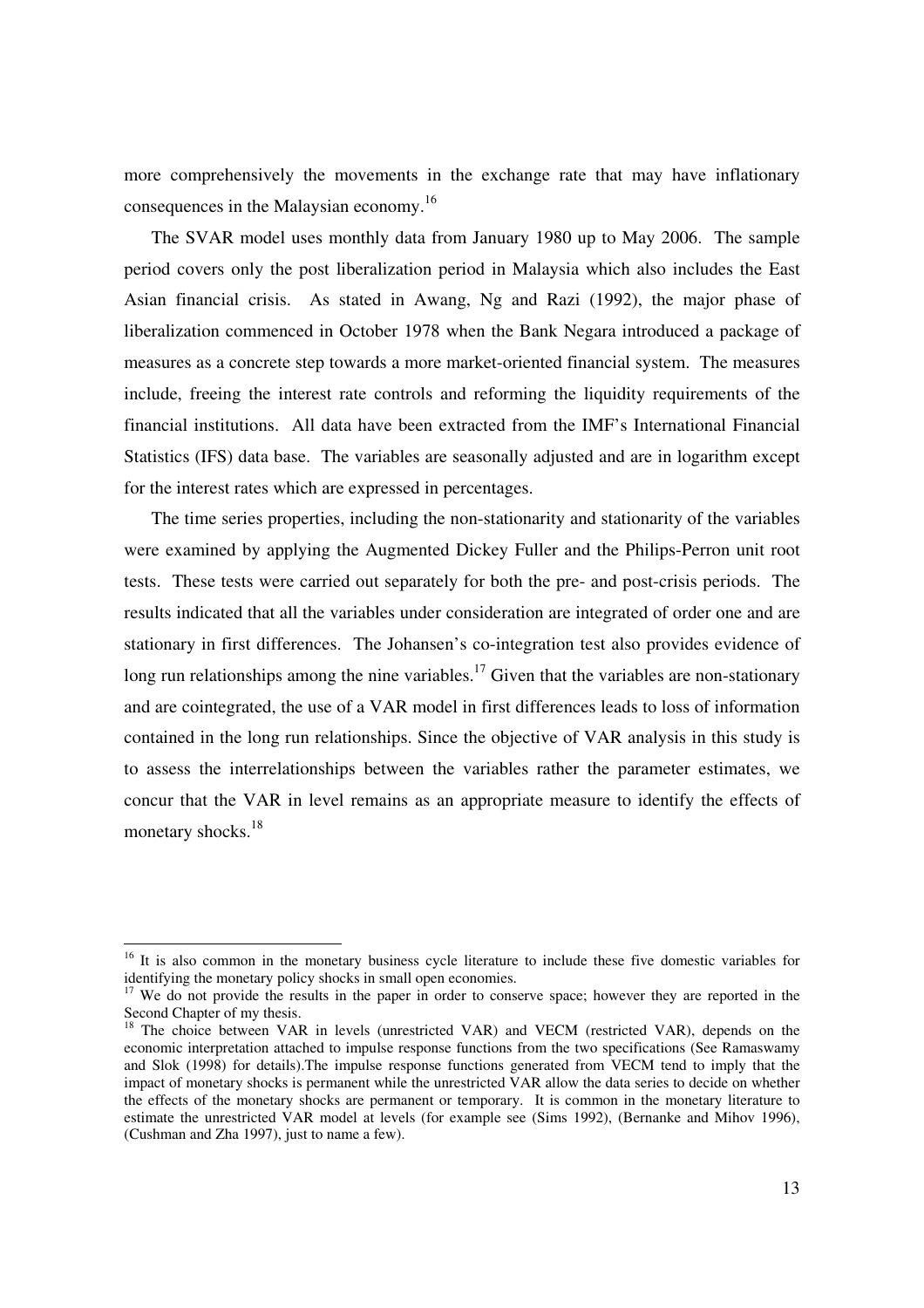more comprehensively the movements in the exchange rate that may have inflationary consequences in the Malaysian economy.<sup>16</sup>

The SVAR model uses monthly data from January 1980 up to May 2006. The sample period covers only the post liberalization period in Malaysia which also includes the East Asian financial crisis. As stated in Awang, Ng and Razi (1992), the major phase of liberalization commenced in October 1978 when the Bank Negara introduced a package of measures as a concrete step towards a more market-oriented financial system. The measures include, freeing the interest rate controls and reforming the liquidity requirements of the financial institutions. All data have been extracted from the IMF's International Financial Statistics (IFS) data base. The variables are seasonally adjusted and are in logarithm except for the interest rates which are expressed in percentages.

The time series properties, including the non-stationarity and stationarity of the variables were examined by applying the Augmented Dickey Fuller and the Philips-Perron unit root tests. These tests were carried out separately for both the pre- and post-crisis periods. The results indicated that all the variables under consideration are integrated of order one and are stationary in first differences. The Johansen's co-integration test also provides evidence of long run relationships among the nine variables.<sup>17</sup> Given that the variables are non-stationary and are cointegrated, the use of a VAR model in first differences leads to loss of information contained in the long run relationships. Since the objective of VAR analysis in this study is to assess the interrelationships between the variables rather the parameter estimates, we concur that the VAR in level remains as an appropriate measure to identify the effects of monetary shocks.<sup>18</sup>

<sup>-</sup>

<sup>&</sup>lt;sup>16</sup> It is also common in the monetary business cycle literature to include these five domestic variables for identifying the monetary policy shocks in small open economies.

<sup>&</sup>lt;sup>17</sup> We do not provide the results in the paper in order to conserve space; however they are reported in the Second Chapter of my thesis.

<sup>18</sup> The choice between VAR in levels (unrestricted VAR) and VECM (restricted VAR), depends on the economic interpretation attached to impulse response functions from the two specifications (See Ramaswamy and Slok (1998) for details).The impulse response functions generated from VECM tend to imply that the impact of monetary shocks is permanent while the unrestricted VAR allow the data series to decide on whether the effects of the monetary shocks are permanent or temporary. It is common in the monetary literature to estimate the unrestricted VAR model at levels (for example see (Sims 1992), (Bernanke and Mihov 1996), (Cushman and Zha 1997), just to name a few).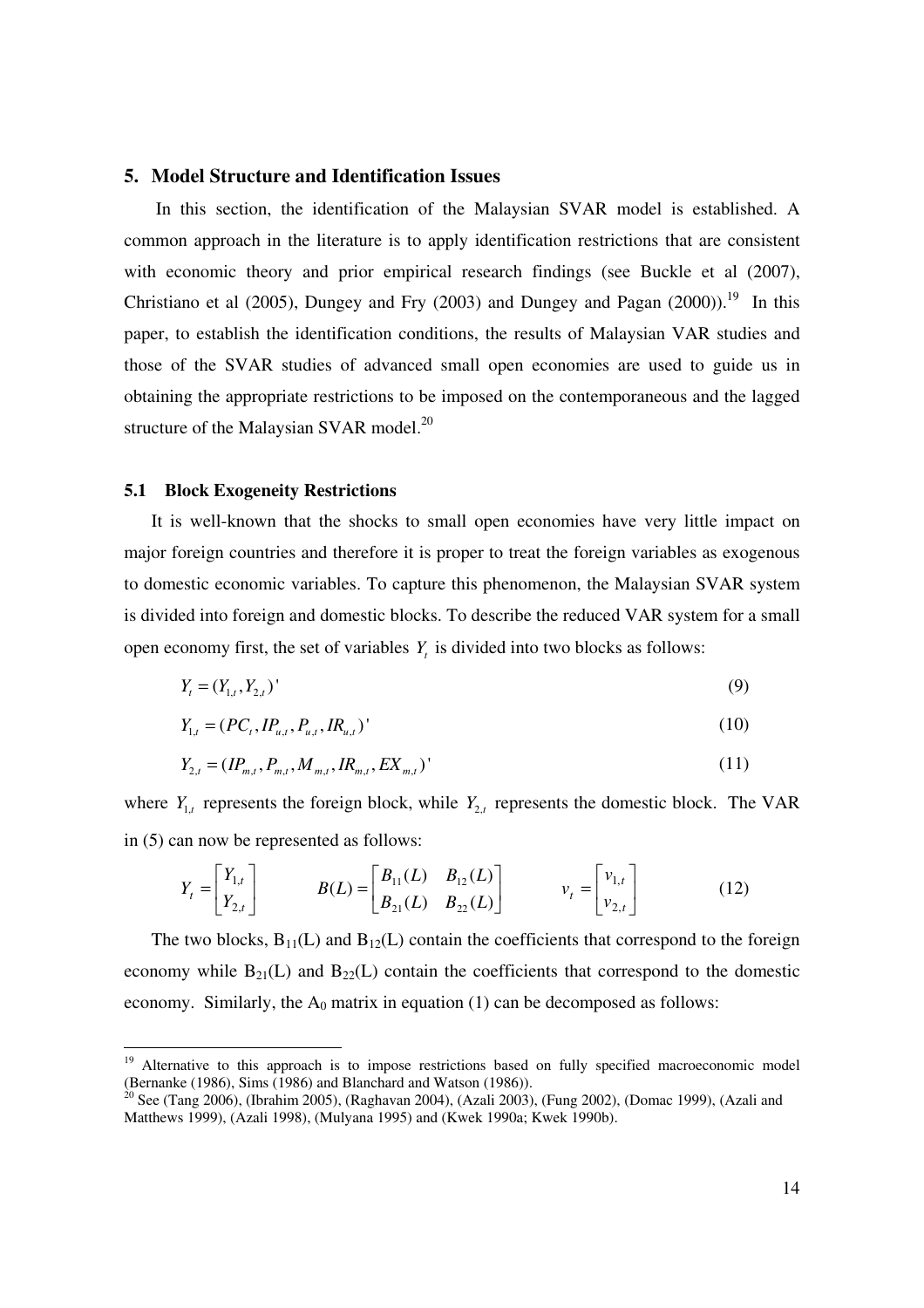### **5. Model Structure and Identification Issues**

 In this section, the identification of the Malaysian SVAR model is established. A common approach in the literature is to apply identification restrictions that are consistent with economic theory and prior empirical research findings (see Buckle et al  $(2007)$ , Christiano et al (2005), Dungey and Fry (2003) and Dungey and Pagan (2000)).<sup>19</sup> In this paper, to establish the identification conditions, the results of Malaysian VAR studies and those of the SVAR studies of advanced small open economies are used to guide us in obtaining the appropriate restrictions to be imposed on the contemporaneous and the lagged structure of the Malaysian SVAR model. $^{20}$ 

## **5.1 Block Exogeneity Restrictions**

<sup>-</sup>

It is well-known that the shocks to small open economies have very little impact on major foreign countries and therefore it is proper to treat the foreign variables as exogenous to domestic economic variables. To capture this phenomenon, the Malaysian SVAR system is divided into foreign and domestic blocks. To describe the reduced VAR system for a small open economy first, the set of variables  $Y_t$  is divided into two blocks as follows:

$$
Y_t = (Y_{1,t}, Y_{2,t})' \tag{9}
$$

$$
Y_{1,t} = (PC_t, IP_{u,t}, P_{u,t}, IR_{u,t})'
$$
\n(10)

$$
Y_{2,t} = (IP_{m,t}, P_{m,t}, M_{m,t}, IR_{m,t}, EX_{m,t})' \tag{11}
$$

where  $Y_{1,t}$  represents the foreign block, while  $Y_{2,t}$  represents the domestic block. The VAR in (5) can now be represented as follows:

$$
Y_{t} = \begin{bmatrix} Y_{1,t} \\ Y_{2,t} \end{bmatrix} \qquad B(L) = \begin{bmatrix} B_{11}(L) & B_{12}(L) \\ B_{21}(L) & B_{22}(L) \end{bmatrix} \qquad v_{t} = \begin{bmatrix} v_{1,t} \\ v_{2,t} \end{bmatrix}
$$
(12)

The two blocks,  $B_{11}(L)$  and  $B_{12}(L)$  contain the coefficients that correspond to the foreign economy while  $B_{21}(L)$  and  $B_{22}(L)$  contain the coefficients that correspond to the domestic economy. Similarly, the  $A_0$  matrix in equation (1) can be decomposed as follows:

<sup>&</sup>lt;sup>19</sup> Alternative to this approach is to impose restrictions based on fully specified macroeconomic model (Bernanke (1986), Sims (1986) and Blanchard and Watson (1986)).

<sup>&</sup>lt;sup>20</sup> See (Tang 2006), (Ibrahim 2005), (Raghavan 2004), (Azali 2003), (Fung 2002), (Domac 1999), (Azali and Matthews 1999), (Azali 1998), (Mulyana 1995) and (Kwek 1990a; Kwek 1990b).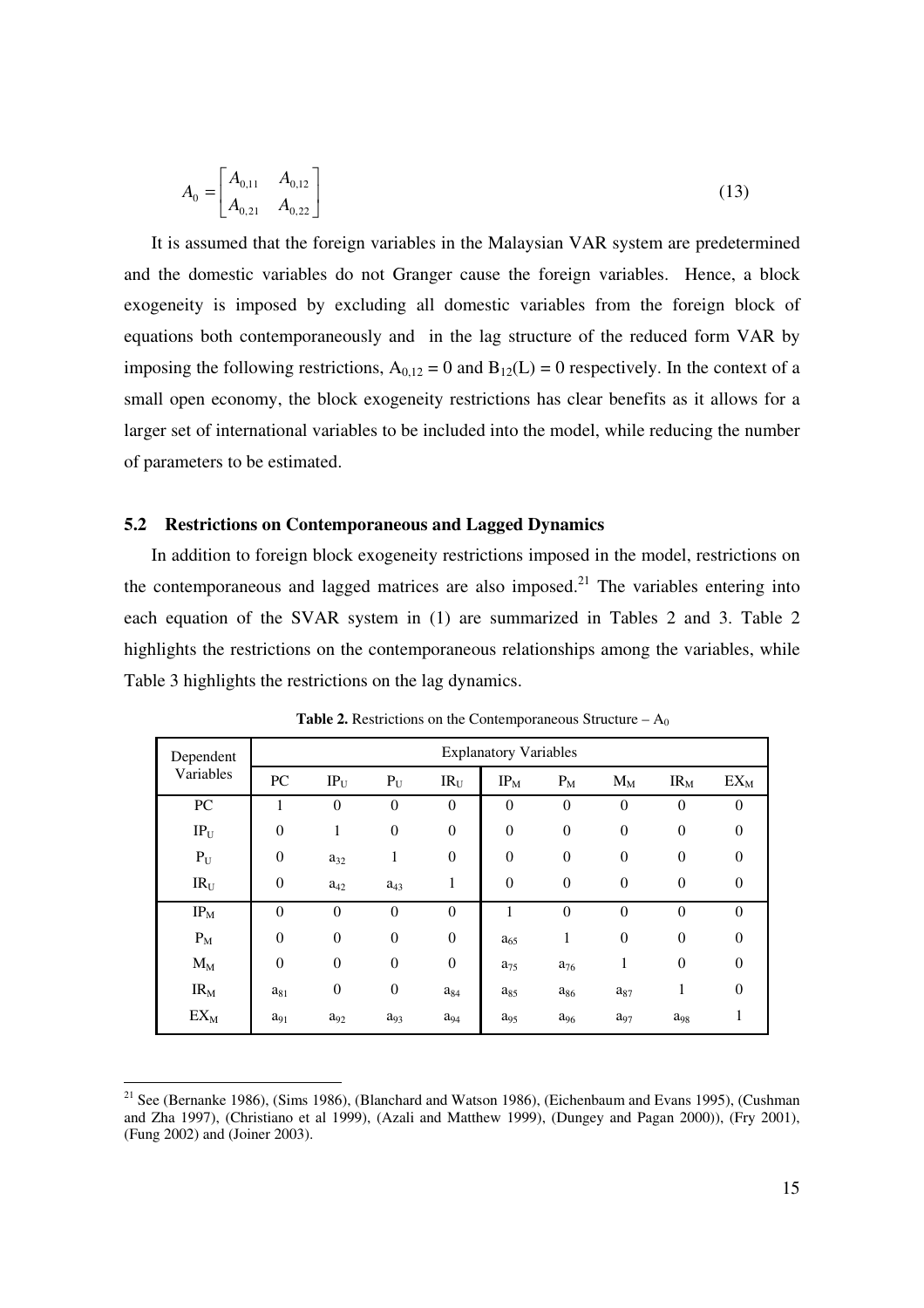$$
A_0 = \begin{bmatrix} A_{0,11} & A_{0,12} \\ A_{0,21} & A_{0,22} \end{bmatrix}
$$
 (13)

It is assumed that the foreign variables in the Malaysian VAR system are predetermined and the domestic variables do not Granger cause the foreign variables. Hence, a block exogeneity is imposed by excluding all domestic variables from the foreign block of equations both contemporaneously and in the lag structure of the reduced form VAR by imposing the following restrictions,  $A_{0,12} = 0$  and  $B_{12}(L) = 0$  respectively. In the context of a small open economy, the block exogeneity restrictions has clear benefits as it allows for a larger set of international variables to be included into the model, while reducing the number of parameters to be estimated.

## **5.2 Restrictions on Contemporaneous and Lagged Dynamics**

In addition to foreign block exogeneity restrictions imposed in the model, restrictions on the contemporaneous and lagged matrices are also imposed.<sup>21</sup> The variables entering into each equation of the SVAR system in (1) are summarized in Tables 2 and 3. Table 2 highlights the restrictions on the contemporaneous relationships among the variables, while Table 3 highlights the restrictions on the lag dynamics.

| Dependent               | <b>Explanatory Variables</b> |                  |                  |                  |                |                  |                |                  |                |  |
|-------------------------|------------------------------|------------------|------------------|------------------|----------------|------------------|----------------|------------------|----------------|--|
| Variables               | ${\rm P}{\bf C}$             | $IP_U$           | $P_U$            | $IR_{U}$         | $IP_M$         | $P_M$            | $M_M$          | $IR_{M}$         | $EX_M$         |  |
| PC                      |                              | $\boldsymbol{0}$ | $\theta$         | $\boldsymbol{0}$ | $\theta$       | $\boldsymbol{0}$ | $\overline{0}$ | $\theta$         | 0              |  |
| $IP_U$                  | $\boldsymbol{0}$             | $\mathbf{1}$     | $\boldsymbol{0}$ | $\boldsymbol{0}$ | $\overline{0}$ | $\boldsymbol{0}$ | $\theta$       | $\overline{0}$   | $\overline{0}$ |  |
| $\mathbf{P}_{\text{U}}$ | $\overline{0}$               | $a_{32}$         | 1                | $\boldsymbol{0}$ | $\overline{0}$ | $\boldsymbol{0}$ | $\theta$       | $\overline{0}$   | $\Omega$       |  |
| $IR_U$                  | $\boldsymbol{0}$             | $a_{42}$         | $a_{43}$         | 1                | $\overline{0}$ | $\boldsymbol{0}$ | $\theta$       | $\boldsymbol{0}$ | $\theta$       |  |
| $IP_M$                  | $\boldsymbol{0}$             | $\boldsymbol{0}$ | $\overline{0}$   | $\boldsymbol{0}$ |                | $\overline{0}$   | $\theta$       | $\theta$         | $\Omega$       |  |
| $\mathbf{P}_\mathrm{M}$ | $\mathbf{0}$                 | $\boldsymbol{0}$ | $\boldsymbol{0}$ | $\boldsymbol{0}$ | $a_{65}$       | 1                | $\theta$       | $\boldsymbol{0}$ | $\theta$       |  |
| $M_{\rm M}$             | $\boldsymbol{0}$             | $\boldsymbol{0}$ | $\boldsymbol{0}$ | $\boldsymbol{0}$ | $a_{75}$       | $a_{76}$         | 1              | $\overline{0}$   | $\theta$       |  |
| $IR_{M}$                | $a_{81}$                     | $\boldsymbol{0}$ | $\boldsymbol{0}$ | $a_{84}$         | $a_{85}$       | $a_{86}$         | $a_{87}$       | 1                | $\theta$       |  |
| $EX_M$                  | $a_{91}$                     | $a_{92}$         | $a_{93}$         | $a_{94}$         | $a_{95}$       | $a_{96}$         | $a_{97}$       | $a_{98}$         | ı              |  |

**Table 2.** Restrictions on the Contemporaneous Structure –  $A_0$ 

<sup>&</sup>lt;sup>21</sup> See (Bernanke 1986), (Sims 1986), (Blanchard and Watson 1986), (Eichenbaum and Evans 1995), (Cushman and Zha 1997), (Christiano et al 1999), (Azali and Matthew 1999), (Dungey and Pagan 2000)), (Fry 2001), (Fung 2002) and (Joiner 2003).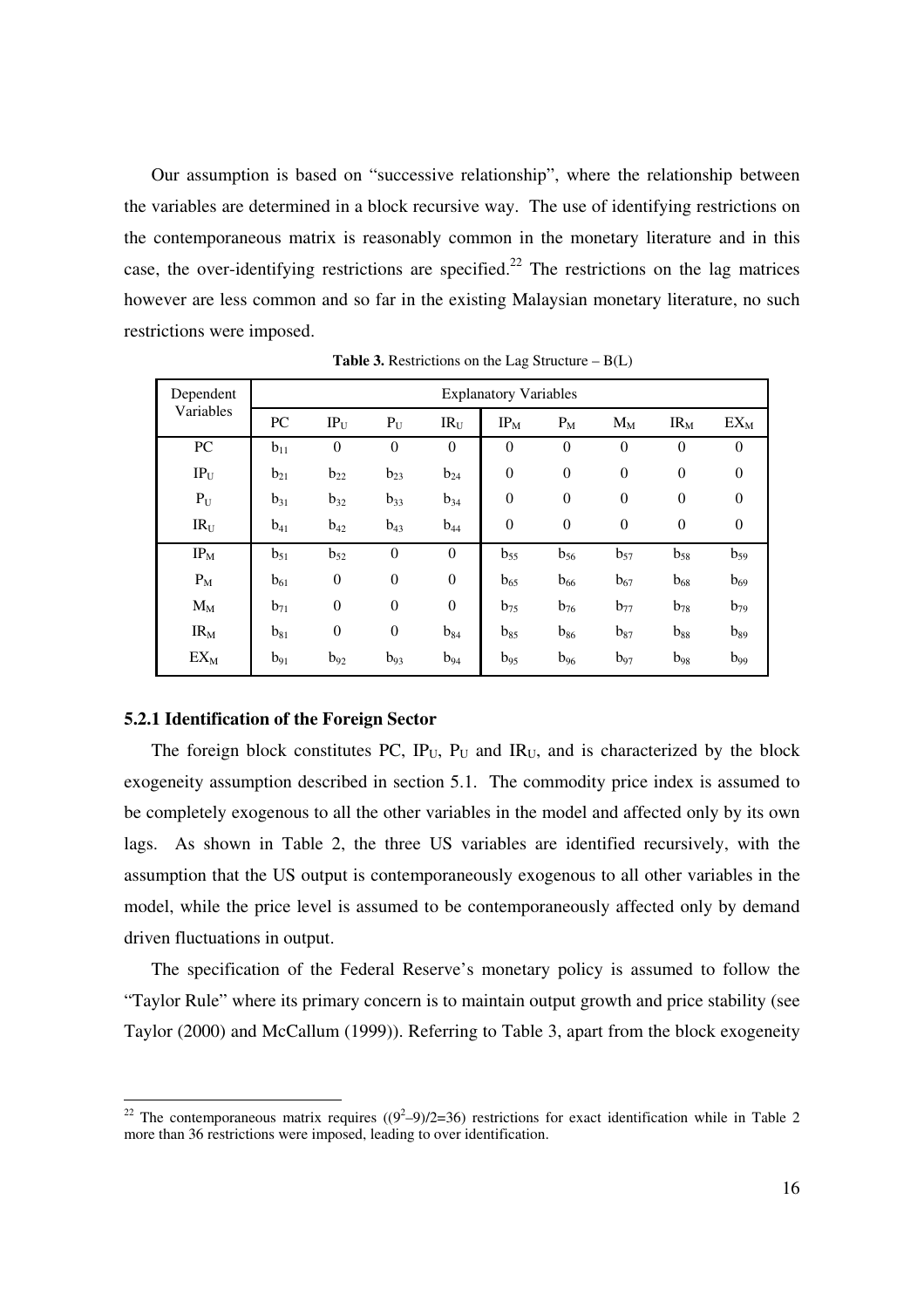Our assumption is based on "successive relationship", where the relationship between the variables are determined in a block recursive way. The use of identifying restrictions on the contemporaneous matrix is reasonably common in the monetary literature and in this case, the over-identifying restrictions are specified.<sup>22</sup> The restrictions on the lag matrices however are less common and so far in the existing Malaysian monetary literature, no such restrictions were imposed.

| Dependent       | <b>Explanatory Variables</b> |                  |                  |                  |                  |                  |                  |                  |                |  |
|-----------------|------------------------------|------------------|------------------|------------------|------------------|------------------|------------------|------------------|----------------|--|
| Variables       | ${\rm P}{\bf C}$             | $IP_U$           | $P_U$            | IR <sub>U</sub>  | $IP_M$           | $P_M$            | $M_M$            | IR <sub>M</sub>  | $EX_M$         |  |
| PC              | $b_{11}$                     | $\boldsymbol{0}$ | $\boldsymbol{0}$ | $\boldsymbol{0}$ | $\overline{0}$   | $\boldsymbol{0}$ | $\overline{0}$   | $\boldsymbol{0}$ | $\overline{0}$ |  |
| $IP_U$          | $b_{21}$                     | $b_{22}$         | $b_{23}$         | $b_{24}$         | $\boldsymbol{0}$ | $\boldsymbol{0}$ | $\boldsymbol{0}$ | $\boldsymbol{0}$ | $\overline{0}$ |  |
| $P_U$           | $b_{31}$                     | $b_{32}$         | $b_{33}$         | $b_{34}$         | $\overline{0}$   | $\boldsymbol{0}$ | $\overline{0}$   | $\boldsymbol{0}$ | $\theta$       |  |
| IR <sub>U</sub> | $b_{41}$                     | $b_{42}$         | $b_{43}$         | $b_{44}$         | $\boldsymbol{0}$ | $\boldsymbol{0}$ | $\boldsymbol{0}$ | $\boldsymbol{0}$ | $\overline{0}$ |  |
| $IP_M$          | $b_{51}$                     | $b_{52}$         | $\theta$         | $\boldsymbol{0}$ | $b_{55}$         | $b_{56}$         | $b_{57}$         | $b_{58}$         | $b_{59}$       |  |
| $P_M$           | $b_{61}$                     | $\boldsymbol{0}$ | $\boldsymbol{0}$ | $\boldsymbol{0}$ | $b_{65}$         | $b_{66}$         | $b_{67}$         | $b_{68}$         | $b_{69}$       |  |
| $M_M$           | $b_{71}$                     | $\boldsymbol{0}$ | $\boldsymbol{0}$ | $\boldsymbol{0}$ | $b_{75}$         | $b_{76}$         | $b_{77}$         | $b_{78}$         | $b_{79}$       |  |
| $IR_{M}$        | $b_{81}$                     | $\boldsymbol{0}$ | $\boldsymbol{0}$ | $b_{84}$         | $b_{85}$         | $b_{86}$         | $b_{87}$         | $b_{88}$         | $b_{89}$       |  |
| $EX_{M}$        | $b_{91}$                     | $b_{92}$         | $b_{93}$         | $b_{94}$         | $b_{95}$         | $b_{96}$         | $b_{97}$         | $b_{98}$         | $b_{99}$       |  |

**Table 3.** Restrictions on the Lag Structure  $- B(L)$ 

#### **5.2.1 Identification of the Foreign Sector**

 $\overline{a}$ 

The foreign block constitutes PC,  $IP_U$ ,  $P_U$  and  $IR_U$ , and is characterized by the block exogeneity assumption described in section 5.1. The commodity price index is assumed to be completely exogenous to all the other variables in the model and affected only by its own lags. As shown in Table 2, the three US variables are identified recursively, with the assumption that the US output is contemporaneously exogenous to all other variables in the model, while the price level is assumed to be contemporaneously affected only by demand driven fluctuations in output.

The specification of the Federal Reserve's monetary policy is assumed to follow the "Taylor Rule" where its primary concern is to maintain output growth and price stability (see Taylor (2000) and McCallum (1999)). Referring to Table 3, apart from the block exogeneity

<sup>&</sup>lt;sup>22</sup> The contemporaneous matrix requires  $((9^2-9)/2=36)$  restrictions for exact identification while in Table 2 more than 36 restrictions were imposed, leading to over identification.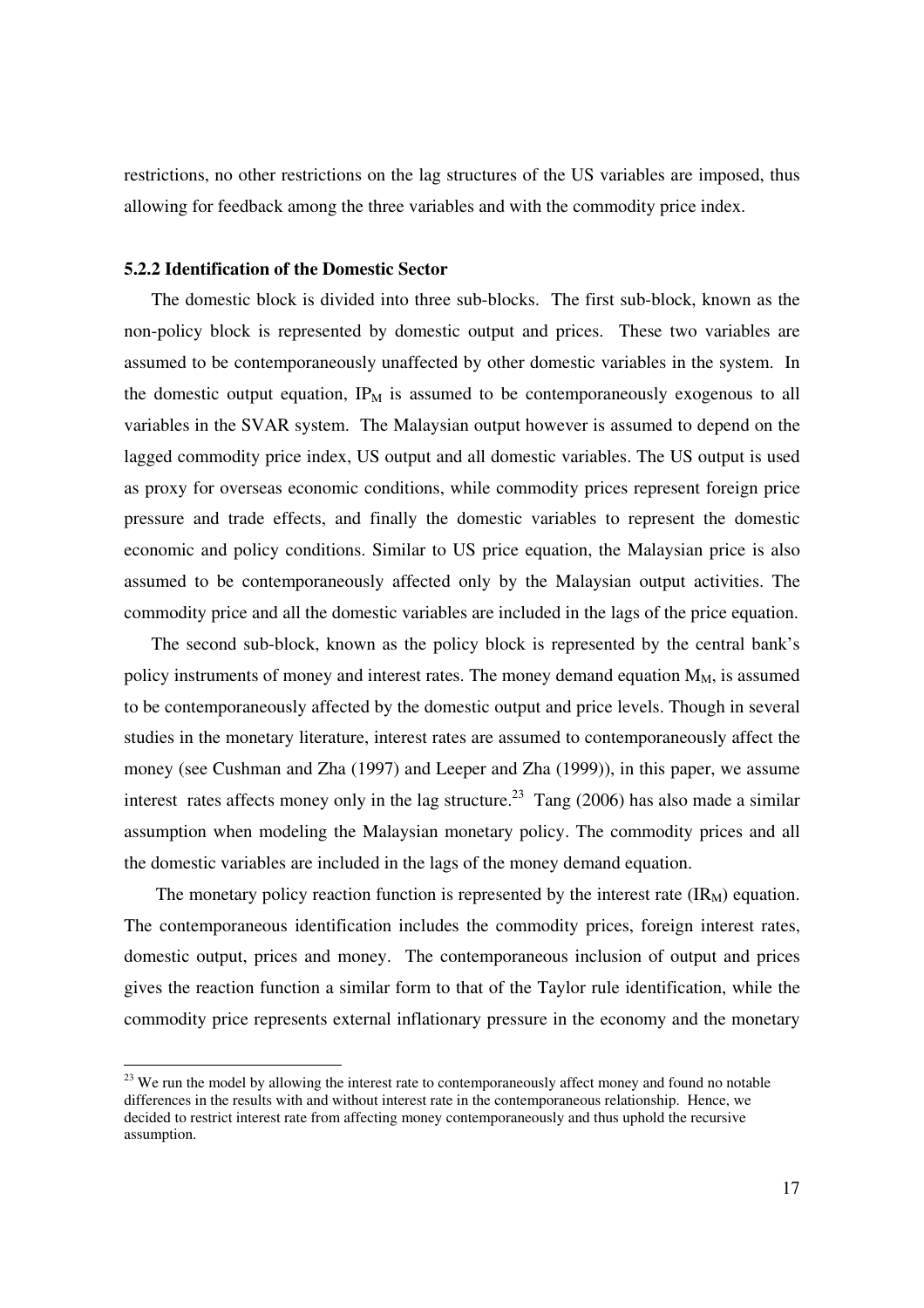restrictions, no other restrictions on the lag structures of the US variables are imposed, thus allowing for feedback among the three variables and with the commodity price index.

## **5.2.2 Identification of the Domestic Sector**

 $\overline{a}$ 

The domestic block is divided into three sub-blocks. The first sub-block, known as the non-policy block is represented by domestic output and prices. These two variables are assumed to be contemporaneously unaffected by other domestic variables in the system. In the domestic output equation,  $IP_M$  is assumed to be contemporaneously exogenous to all variables in the SVAR system. The Malaysian output however is assumed to depend on the lagged commodity price index, US output and all domestic variables. The US output is used as proxy for overseas economic conditions, while commodity prices represent foreign price pressure and trade effects, and finally the domestic variables to represent the domestic economic and policy conditions. Similar to US price equation, the Malaysian price is also assumed to be contemporaneously affected only by the Malaysian output activities. The commodity price and all the domestic variables are included in the lags of the price equation.

The second sub-block, known as the policy block is represented by the central bank's policy instruments of money and interest rates. The money demand equation  $M_M$ , is assumed to be contemporaneously affected by the domestic output and price levels. Though in several studies in the monetary literature, interest rates are assumed to contemporaneously affect the money (see Cushman and Zha (1997) and Leeper and Zha (1999)), in this paper, we assume interest rates affects money only in the lag structure.<sup>23</sup> Tang (2006) has also made a similar assumption when modeling the Malaysian monetary policy. The commodity prices and all the domestic variables are included in the lags of the money demand equation.

The monetary policy reaction function is represented by the interest rate  $(IR<sub>M</sub>)$  equation. The contemporaneous identification includes the commodity prices, foreign interest rates, domestic output, prices and money. The contemporaneous inclusion of output and prices gives the reaction function a similar form to that of the Taylor rule identification, while the commodity price represents external inflationary pressure in the economy and the monetary

<sup>&</sup>lt;sup>23</sup> We run the model by allowing the interest rate to contemporaneously affect money and found no notable differences in the results with and without interest rate in the contemporaneous relationship. Hence, we decided to restrict interest rate from affecting money contemporaneously and thus uphold the recursive assumption.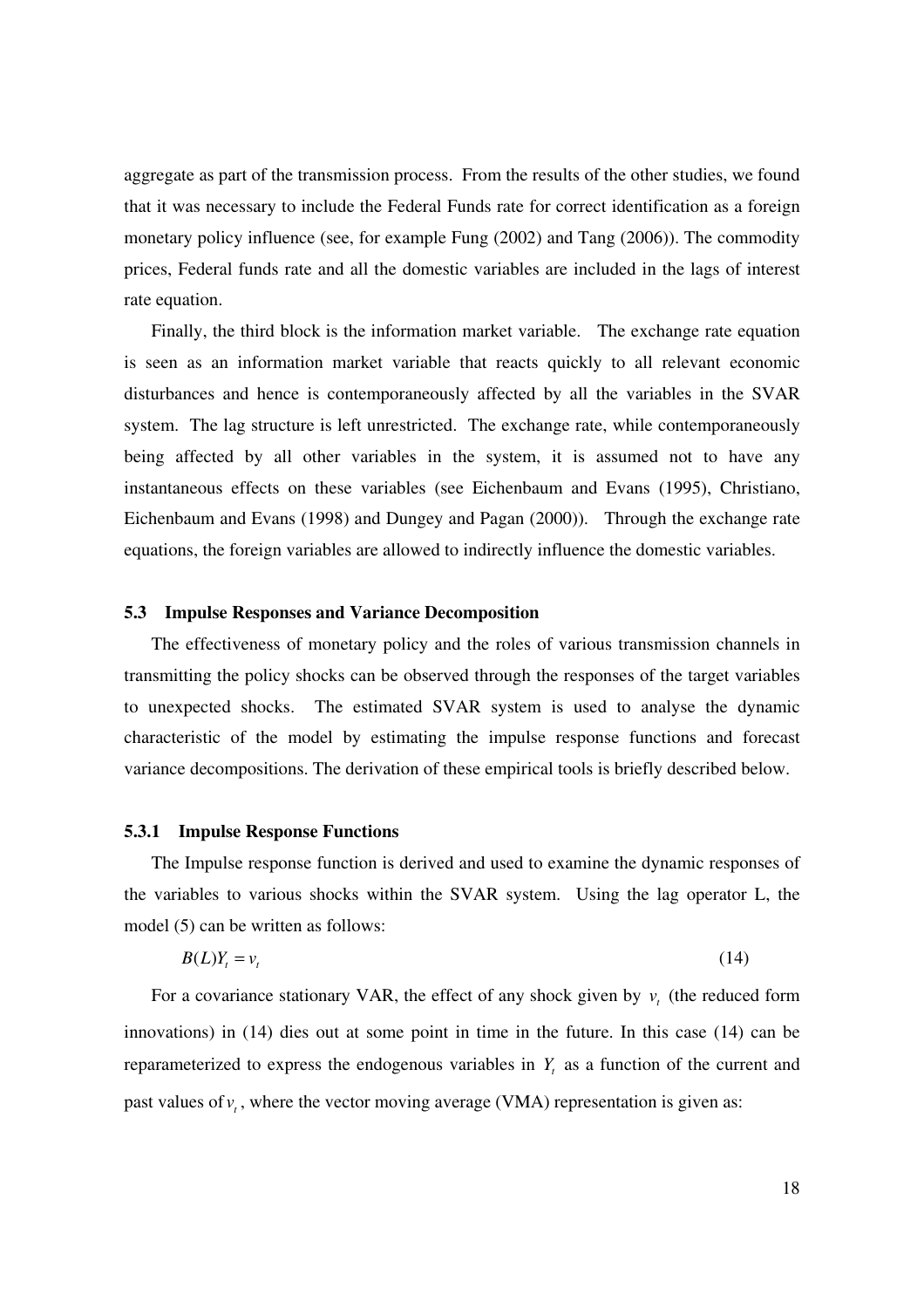aggregate as part of the transmission process. From the results of the other studies, we found that it was necessary to include the Federal Funds rate for correct identification as a foreign monetary policy influence (see, for example Fung (2002) and Tang (2006)). The commodity prices, Federal funds rate and all the domestic variables are included in the lags of interest rate equation.

Finally, the third block is the information market variable. The exchange rate equation is seen as an information market variable that reacts quickly to all relevant economic disturbances and hence is contemporaneously affected by all the variables in the SVAR system. The lag structure is left unrestricted. The exchange rate, while contemporaneously being affected by all other variables in the system, it is assumed not to have any instantaneous effects on these variables (see Eichenbaum and Evans (1995), Christiano, Eichenbaum and Evans (1998) and Dungey and Pagan (2000)). Through the exchange rate equations, the foreign variables are allowed to indirectly influence the domestic variables.

### **5.3 Impulse Responses and Variance Decomposition**

The effectiveness of monetary policy and the roles of various transmission channels in transmitting the policy shocks can be observed through the responses of the target variables to unexpected shocks. The estimated SVAR system is used to analyse the dynamic characteristic of the model by estimating the impulse response functions and forecast variance decompositions. The derivation of these empirical tools is briefly described below.

#### **5.3.1 Impulse Response Functions**

The Impulse response function is derived and used to examine the dynamic responses of the variables to various shocks within the SVAR system. Using the lag operator L, the model (5) can be written as follows:

$$
B(L)Y_t = v_t \tag{14}
$$

For a covariance stationary VAR, the effect of any shock given by  $v_t$  (the reduced form innovations) in (14) dies out at some point in time in the future. In this case (14) can be reparameterized to express the endogenous variables in  $Y_t$  as a function of the current and past values of  $v_t$ , where the vector moving average (VMA) representation is given as: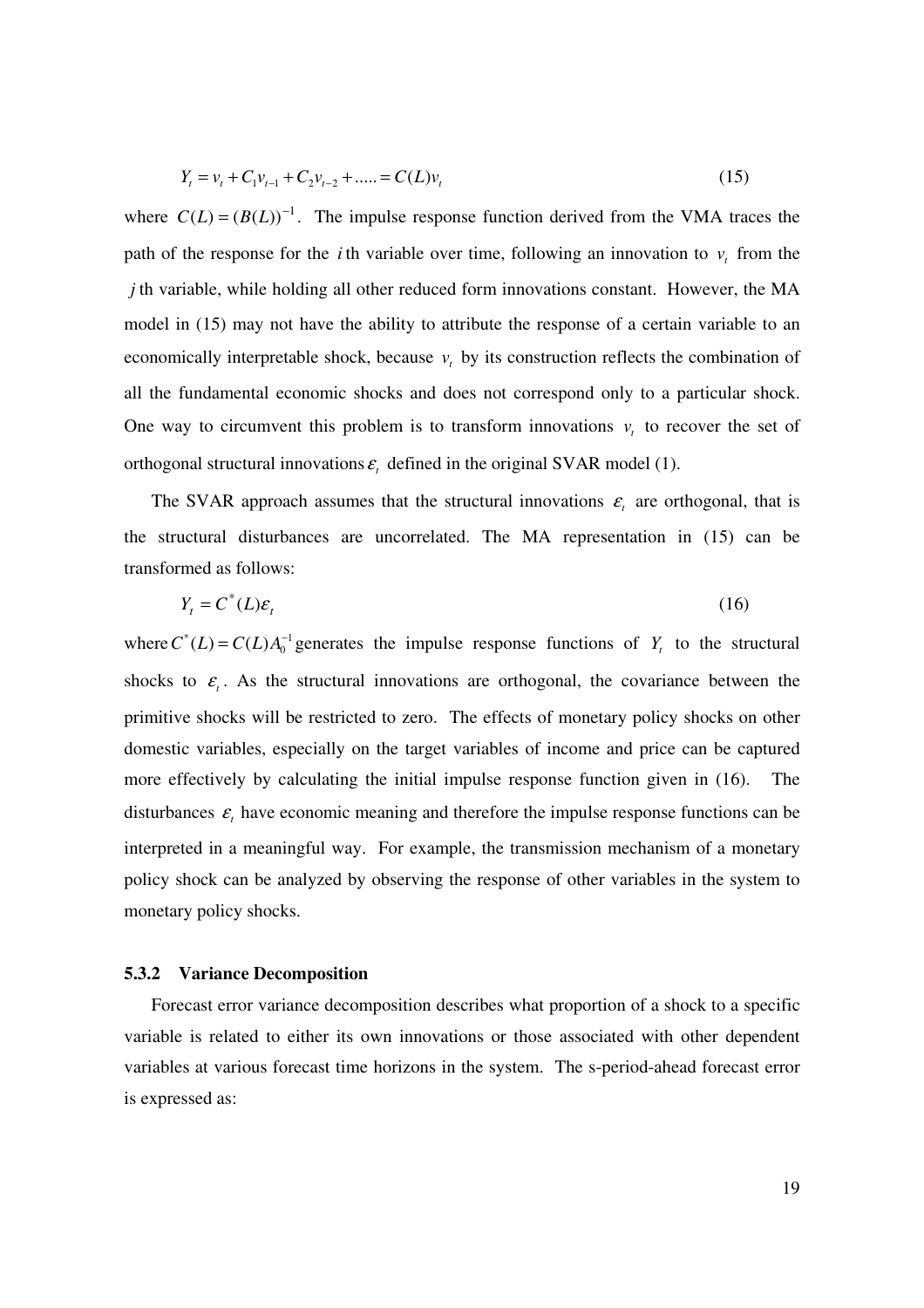$$
Y_t = v_t + C_1 v_{t-1} + C_2 v_{t-2} + \dots = C(L)v_t
$$
\n(15)

where  $C(L) = (B(L))^{-1}$ . The impulse response function derived from the VMA traces the path of the response for the *i* th variable over time, following an innovation to  $v_t$  from the *j* th variable, while holding all other reduced form innovations constant. However, the MA model in (15) may not have the ability to attribute the response of a certain variable to an economically interpretable shock, because  $v_t$  by its construction reflects the combination of all the fundamental economic shocks and does not correspond only to a particular shock. One way to circumvent this problem is to transform innovations  $v_t$  to recover the set of orthogonal structural innovations  $\varepsilon$ <sub>*t*</sub> defined in the original SVAR model (1).

The SVAR approach assumes that the structural innovations  $\varepsilon$ <sub>t</sub> are orthogonal, that is the structural disturbances are uncorrelated. The MA representation in (15) can be transformed as follows:

$$
Y_t = C^*(L)\varepsilon_t \tag{16}
$$

where  $C^*(L) = C(L)A_0^{-1}$  generates the impulse response functions of  $Y_t$  to the structural shocks to  $\varepsilon$ . As the structural innovations are orthogonal, the covariance between the primitive shocks will be restricted to zero. The effects of monetary policy shocks on other domestic variables, especially on the target variables of income and price can be captured more effectively by calculating the initial impulse response function given in (16). The disturbances  $\varepsilon$ <sub>t</sub> have economic meaning and therefore the impulse response functions can be interpreted in a meaningful way. For example, the transmission mechanism of a monetary policy shock can be analyzed by observing the response of other variables in the system to monetary policy shocks.

#### **5.3.2 Variance Decomposition**

Forecast error variance decomposition describes what proportion of a shock to a specific variable is related to either its own innovations or those associated with other dependent variables at various forecast time horizons in the system. The s-period-ahead forecast error is expressed as: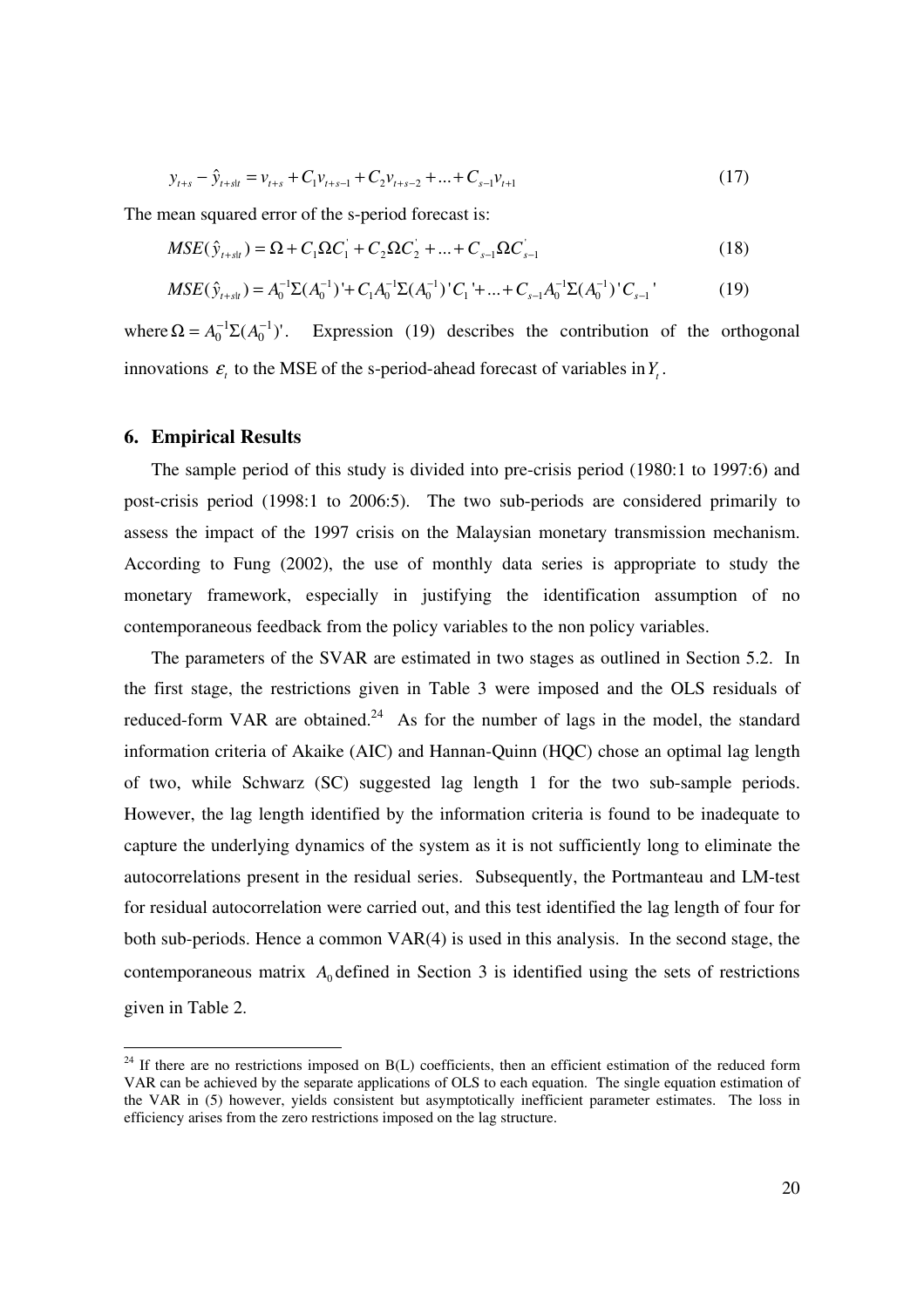$$
y_{t+s} - \hat{y}_{t+st} = v_{t+s} + C_1 v_{t+s-1} + C_2 v_{t+s-2} + \dots + C_{s-1} v_{t+1}
$$
\n(17)

The mean squared error of the s-period forecast is:

$$
MSE(\hat{y}_{t+slt}) = \Omega + C_1 \Omega C_1 + C_2 \Omega C_2 + ... + C_{s-1} \Omega C_{s-1}
$$
\n(18)

$$
MSE(\hat{y}_{t+st}) = A_0^{-1} \Sigma (A_0^{-1})' + C_1 A_0^{-1} \Sigma (A_0^{-1})' C_1' + ... + C_{s-1} A_0^{-1} \Sigma (A_0^{-1})' C_{s-1}
$$
\n(19)

where  $\Omega = A_0^{-1} \Sigma (A_0^{-1})'$ 1  $\Omega = A_0^{-1} \Sigma (A_0^{-1})'$ . Expression (19) describes the contribution of the orthogonal innovations  $\varepsilon$ <sub>*t*</sub> to the MSE of the s-period-ahead forecast of variables in  $Y$ <sup>*t*</sup>.

# **6. Empirical Results**

<sup>-</sup>

The sample period of this study is divided into pre-crisis period (1980:1 to 1997:6) and post-crisis period (1998:1 to 2006:5). The two sub-periods are considered primarily to assess the impact of the 1997 crisis on the Malaysian monetary transmission mechanism. According to Fung (2002), the use of monthly data series is appropriate to study the monetary framework, especially in justifying the identification assumption of no contemporaneous feedback from the policy variables to the non policy variables.

The parameters of the SVAR are estimated in two stages as outlined in Section 5.2. In the first stage, the restrictions given in Table 3 were imposed and the OLS residuals of reduced-form VAR are obtained.<sup>24</sup> As for the number of lags in the model, the standard information criteria of Akaike (AIC) and Hannan-Quinn (HQC) chose an optimal lag length of two, while Schwarz (SC) suggested lag length 1 for the two sub-sample periods. However, the lag length identified by the information criteria is found to be inadequate to capture the underlying dynamics of the system as it is not sufficiently long to eliminate the autocorrelations present in the residual series. Subsequently, the Portmanteau and LM-test for residual autocorrelation were carried out, and this test identified the lag length of four for both sub-periods. Hence a common VAR(4) is used in this analysis. In the second stage, the contemporaneous matrix  $A_0$  defined in Section 3 is identified using the sets of restrictions given in Table 2.

 $24$  If there are no restrictions imposed on B(L) coefficients, then an efficient estimation of the reduced form VAR can be achieved by the separate applications of OLS to each equation. The single equation estimation of the VAR in (5) however, yields consistent but asymptotically inefficient parameter estimates. The loss in efficiency arises from the zero restrictions imposed on the lag structure.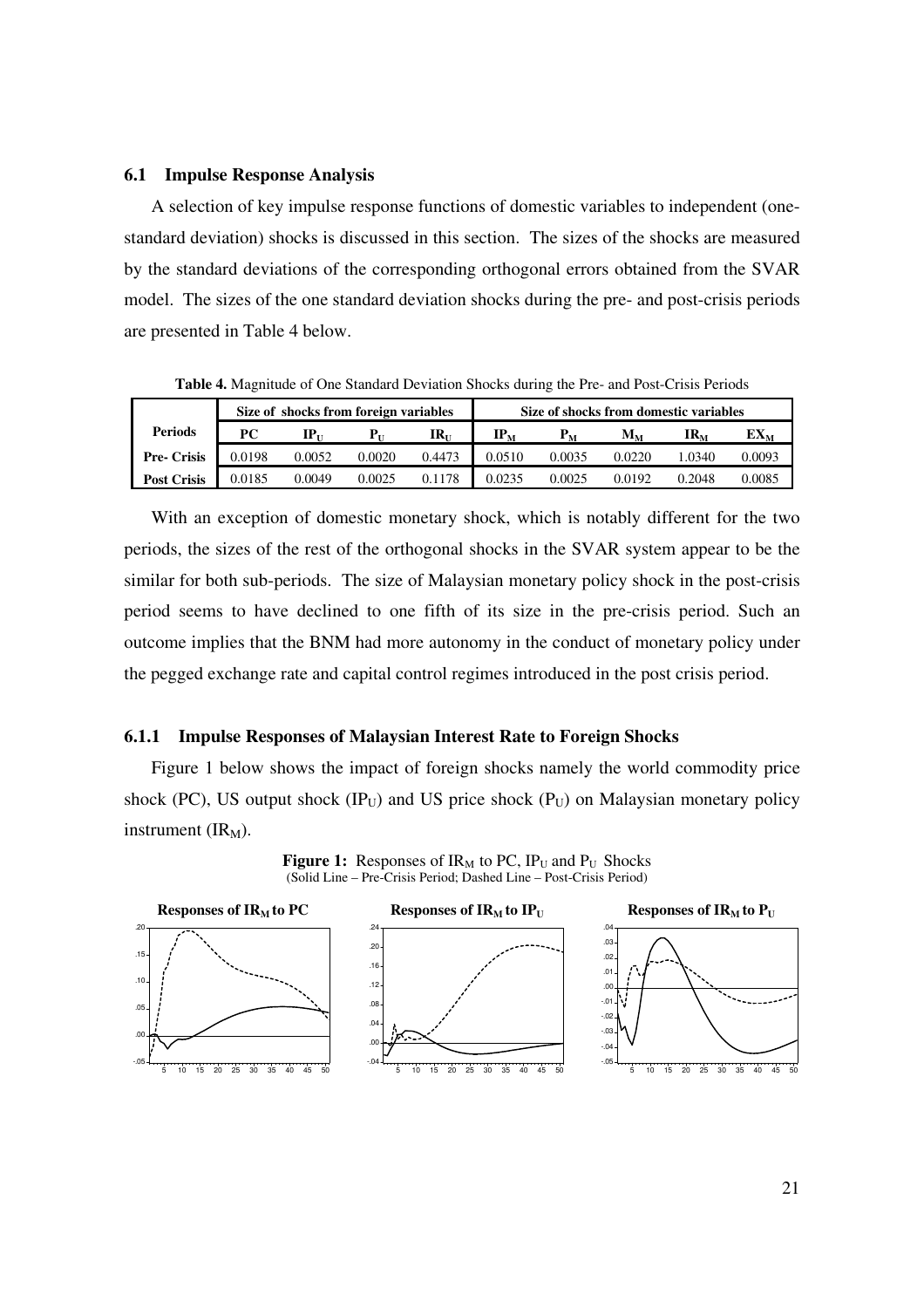#### **6.1 Impulse Response Analysis**

A selection of key impulse response functions of domestic variables to independent (onestandard deviation) shocks is discussed in this section. The sizes of the shocks are measured by the standard deviations of the corresponding orthogonal errors obtained from the SVAR model. The sizes of the one standard deviation shocks during the pre- and post-crisis periods are presented in Table 4 below.

Size of shocks from foreign variables Size of shocks from domestic variables **Periods PC IP**<sub>U</sub> **P**<sub>U</sub> **IR**<sub>U</sub> **IR**<sub>U</sub> **IP**<sub>M</sub> **P**<sub>M</sub> **M**<sub>M</sub> **IR**<sub>M</sub> **EX**<sub>M</sub> **Pre- Crisis** 0.0198 0.0052 0.0020 0.4473 0.0510 0.0035 0.0220 1.0340 0.0093 **Post Crisis |** 0.0185 0.0049 0.0025 0.1178 | 0.0235 0.0025 0.0192 0.2048 0.0085

**Table 4.** Magnitude of One Standard Deviation Shocks during the Pre- and Post-Crisis Periods

With an exception of domestic monetary shock, which is notably different for the two periods, the sizes of the rest of the orthogonal shocks in the SVAR system appear to be the similar for both sub-periods. The size of Malaysian monetary policy shock in the post-crisis period seems to have declined to one fifth of its size in the pre-crisis period. Such an outcome implies that the BNM had more autonomy in the conduct of monetary policy under the pegged exchange rate and capital control regimes introduced in the post crisis period.

#### **6.1.1 Impulse Responses of Malaysian Interest Rate to Foreign Shocks**

Figure 1 below shows the impact of foreign shocks namely the world commodity price shock (PC), US output shock (IP $_U$ ) and US price shock (P $_U$ ) on Malaysian monetary policy instrument  $(IR<sub>M</sub>)$ .

**Figure 1:** Responses of  $IR_M$  to PC,  $IP_U$  and  $P_U$  Shocks (Solid Line – Pre-Crisis Period; Dashed Line – Post-Crisis Period)

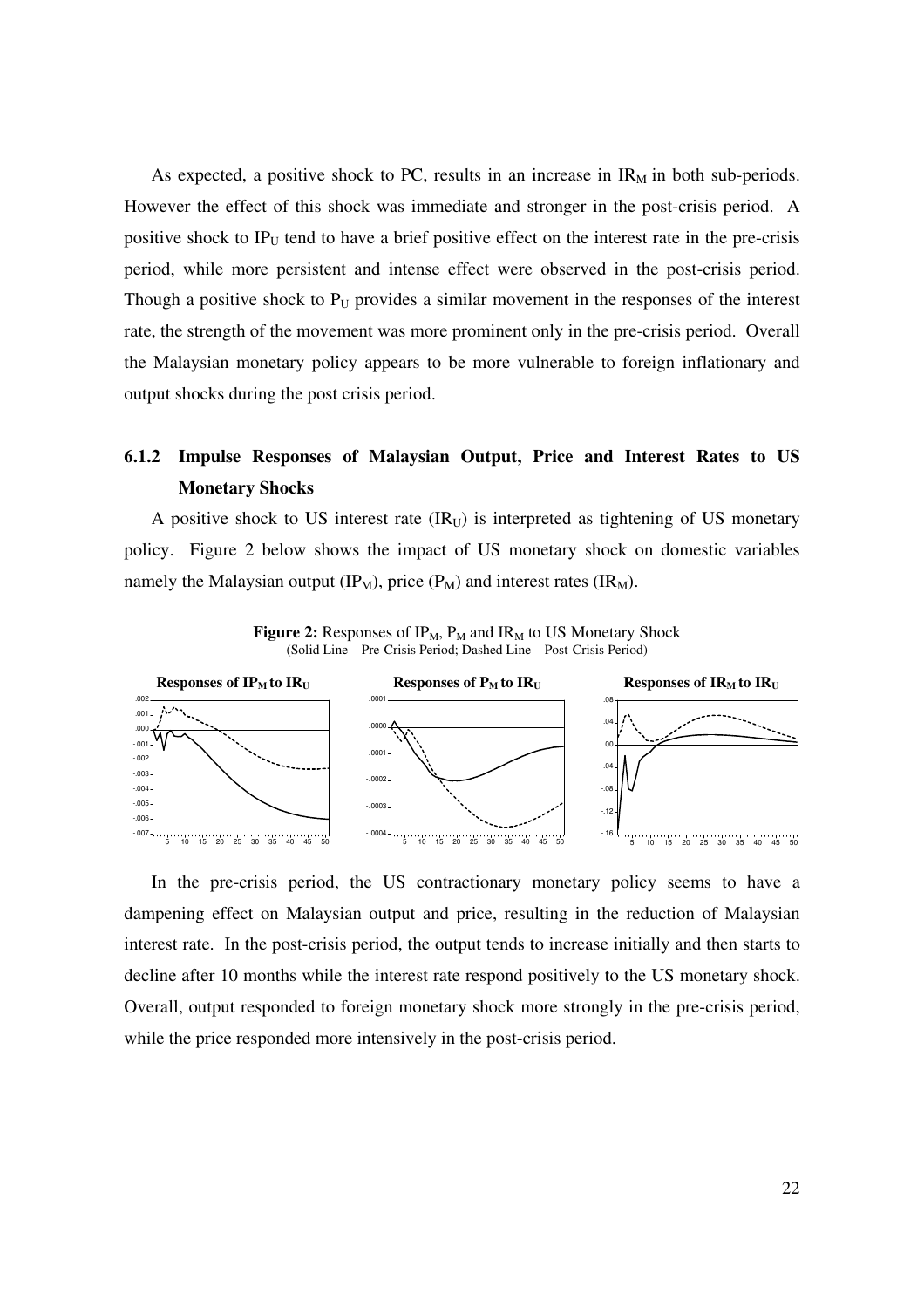As expected, a positive shock to PC, results in an increase in  $IR_M$  in both sub-periods. However the effect of this shock was immediate and stronger in the post-crisis period. A positive shock to  $IP_U$  tend to have a brief positive effect on the interest rate in the pre-crisis period, while more persistent and intense effect were observed in the post-crisis period. Though a positive shock to  $P_U$  provides a similar movement in the responses of the interest rate, the strength of the movement was more prominent only in the pre-crisis period. Overall the Malaysian monetary policy appears to be more vulnerable to foreign inflationary and output shocks during the post crisis period.

# **6.1.2 Impulse Responses of Malaysian Output, Price and Interest Rates to US Monetary Shocks**

A positive shock to US interest rate  $\text{(IR}_U)$  is interpreted as tightening of US monetary policy. Figure 2 below shows the impact of US monetary shock on domestic variables namely the Malaysian output  $(IP_M)$ , price  $(P_M)$  and interest rates  $(IR_M)$ .

Figure 2: Responses of IP<sub>M</sub>, P<sub>M</sub> and IR<sub>M</sub> to US Monetary Shock (Solid Line – Pre-Crisis Period; Dashed Line – Post-Crisis Period)



In the pre-crisis period, the US contractionary monetary policy seems to have a dampening effect on Malaysian output and price, resulting in the reduction of Malaysian interest rate. In the post-crisis period, the output tends to increase initially and then starts to decline after 10 months while the interest rate respond positively to the US monetary shock. Overall, output responded to foreign monetary shock more strongly in the pre-crisis period, while the price responded more intensively in the post-crisis period.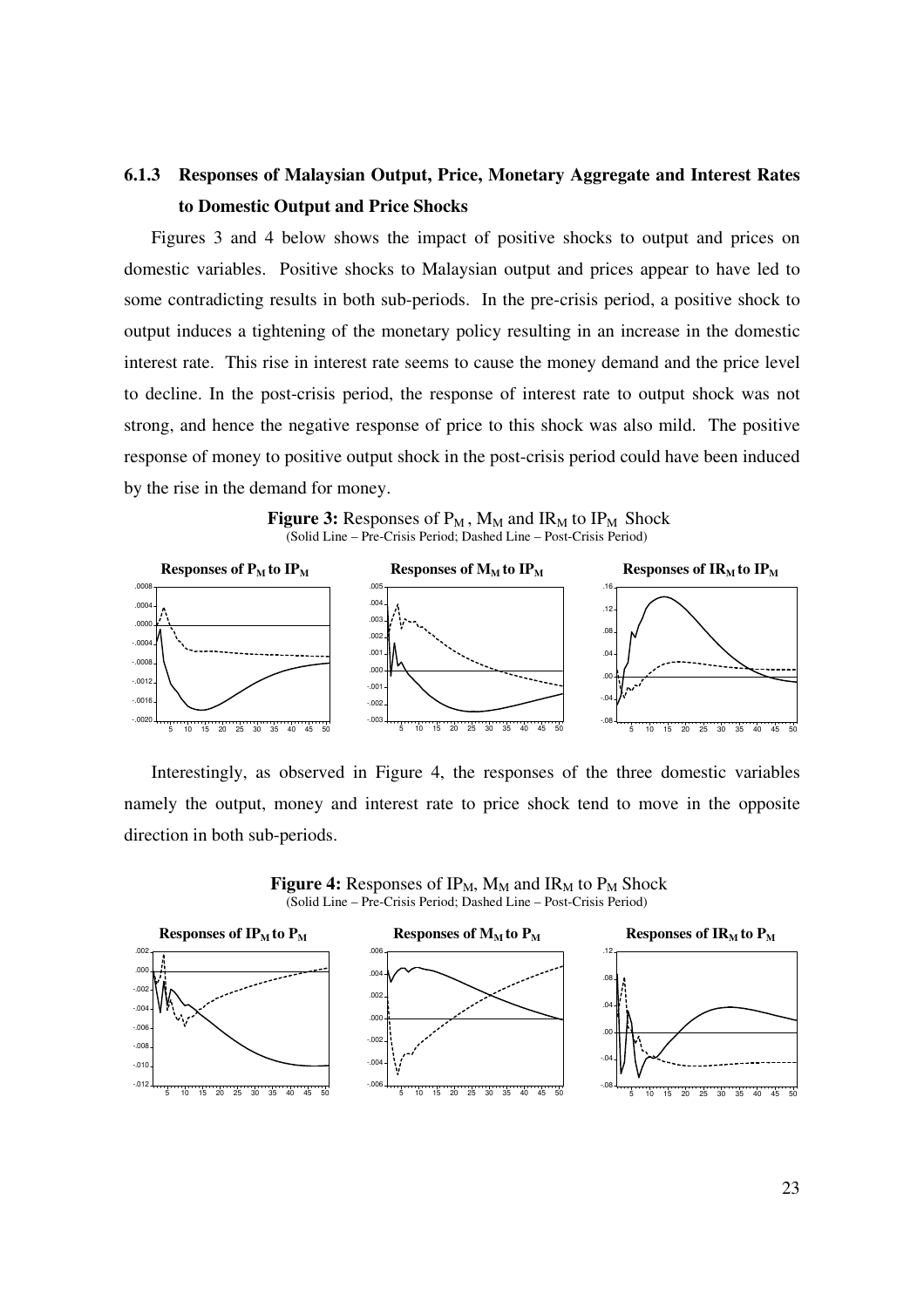# **6.1.3 Responses of Malaysian Output, Price, Monetary Aggregate and Interest Rates to Domestic Output and Price Shocks**

Figures 3 and 4 below shows the impact of positive shocks to output and prices on domestic variables. Positive shocks to Malaysian output and prices appear to have led to some contradicting results in both sub-periods. In the pre-crisis period, a positive shock to output induces a tightening of the monetary policy resulting in an increase in the domestic interest rate. This rise in interest rate seems to cause the money demand and the price level to decline. In the post-crisis period, the response of interest rate to output shock was not strong, and hence the negative response of price to this shock was also mild. The positive response of money to positive output shock in the post-crisis period could have been induced by the rise in the demand for money.

**Figure 3:** Responses of  $P_M$ ,  $M_M$  and  $IR_M$  to  $IP_M$  Shock (Solid Line – Pre-Crisis Period; Dashed Line – Post-Crisis Period)



Interestingly, as observed in Figure 4, the responses of the three domestic variables namely the output, money and interest rate to price shock tend to move in the opposite direction in both sub-periods.

**Figure 4:** Responses of  $IP_M$ ,  $M_M$  and  $IR_M$  to  $P_M$  Shock (Solid Line – Pre-Crisis Period; Dashed Line – Post-Crisis Period)

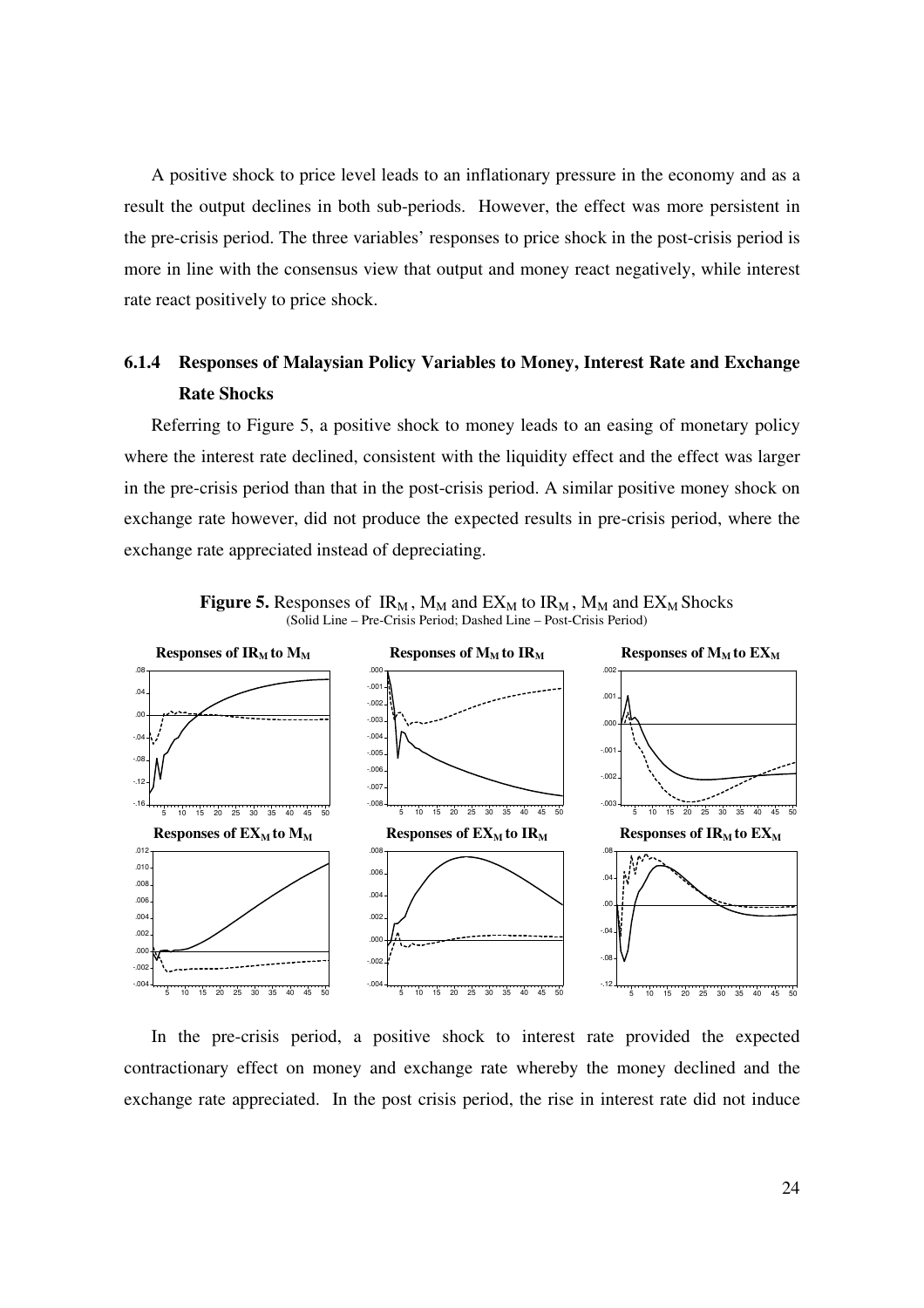A positive shock to price level leads to an inflationary pressure in the economy and as a result the output declines in both sub-periods. However, the effect was more persistent in the pre-crisis period. The three variables' responses to price shock in the post-crisis period is more in line with the consensus view that output and money react negatively, while interest rate react positively to price shock.

# **6.1.4 Responses of Malaysian Policy Variables to Money, Interest Rate and Exchange Rate Shocks**

Referring to Figure 5, a positive shock to money leads to an easing of monetary policy where the interest rate declined, consistent with the liquidity effect and the effect was larger in the pre-crisis period than that in the post-crisis period. A similar positive money shock on exchange rate however, did not produce the expected results in pre-crisis period, where the exchange rate appreciated instead of depreciating.



**Figure 5.** Responses of  $IR_M$ ,  $M_M$  and  $EX_M$  to  $IR_M$ ,  $M_M$  and  $EX_M$  Shocks (Solid Line – Pre-Crisis Period; Dashed Line – Post-Crisis Period)

In the pre-crisis period, a positive shock to interest rate provided the expected contractionary effect on money and exchange rate whereby the money declined and the exchange rate appreciated. In the post crisis period, the rise in interest rate did not induce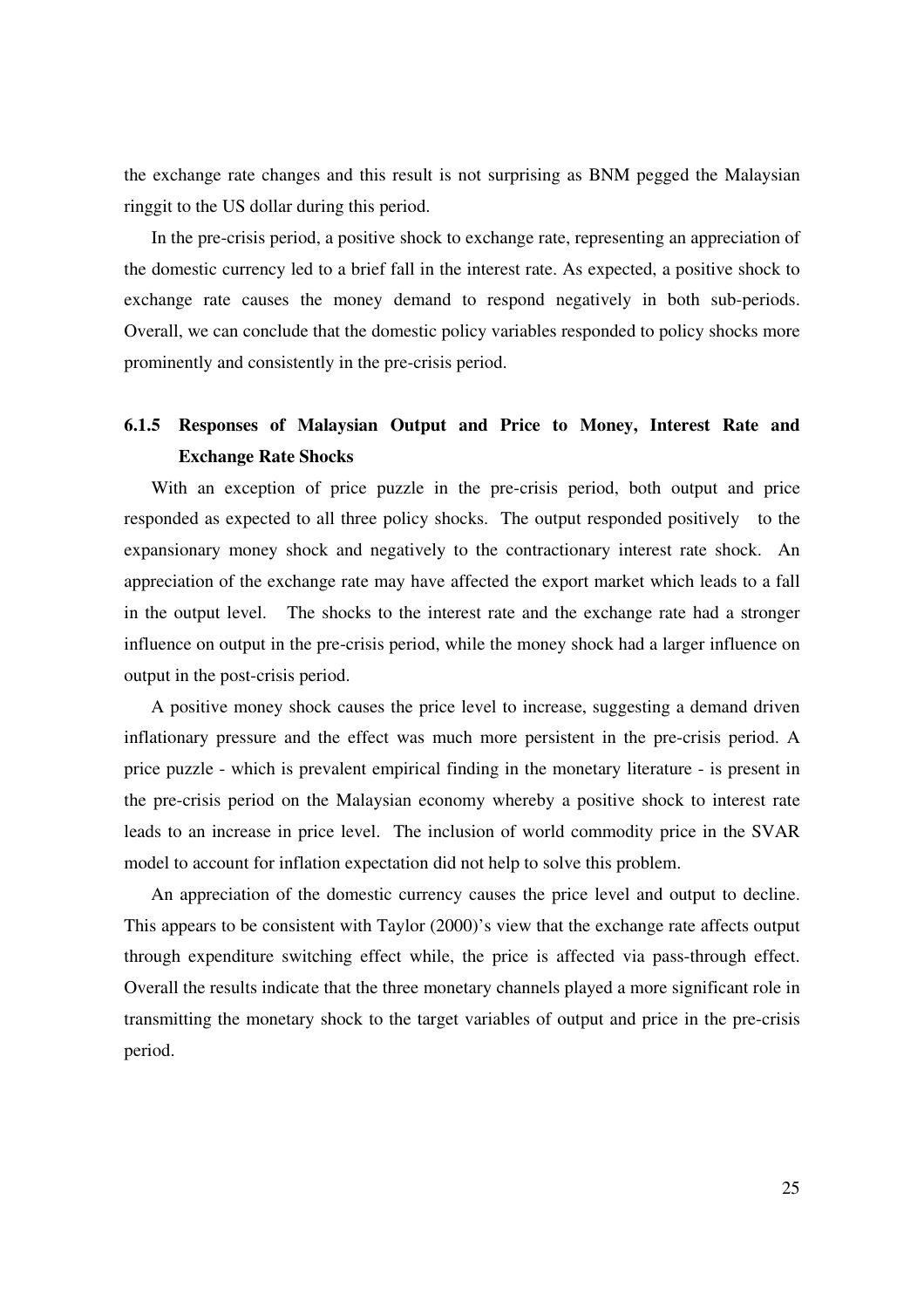the exchange rate changes and this result is not surprising as BNM pegged the Malaysian ringgit to the US dollar during this period.

In the pre-crisis period, a positive shock to exchange rate, representing an appreciation of the domestic currency led to a brief fall in the interest rate. As expected, a positive shock to exchange rate causes the money demand to respond negatively in both sub-periods. Overall, we can conclude that the domestic policy variables responded to policy shocks more prominently and consistently in the pre-crisis period.

# **6.1.5 Responses of Malaysian Output and Price to Money, Interest Rate and Exchange Rate Shocks**

With an exception of price puzzle in the pre-crisis period, both output and price responded as expected to all three policy shocks. The output responded positively to the expansionary money shock and negatively to the contractionary interest rate shock. An appreciation of the exchange rate may have affected the export market which leads to a fall in the output level. The shocks to the interest rate and the exchange rate had a stronger influence on output in the pre-crisis period, while the money shock had a larger influence on output in the post-crisis period.

A positive money shock causes the price level to increase, suggesting a demand driven inflationary pressure and the effect was much more persistent in the pre-crisis period. A price puzzle - which is prevalent empirical finding in the monetary literature - is present in the pre-crisis period on the Malaysian economy whereby a positive shock to interest rate leads to an increase in price level. The inclusion of world commodity price in the SVAR model to account for inflation expectation did not help to solve this problem.

An appreciation of the domestic currency causes the price level and output to decline. This appears to be consistent with Taylor (2000)'s view that the exchange rate affects output through expenditure switching effect while, the price is affected via pass-through effect. Overall the results indicate that the three monetary channels played a more significant role in transmitting the monetary shock to the target variables of output and price in the pre-crisis period.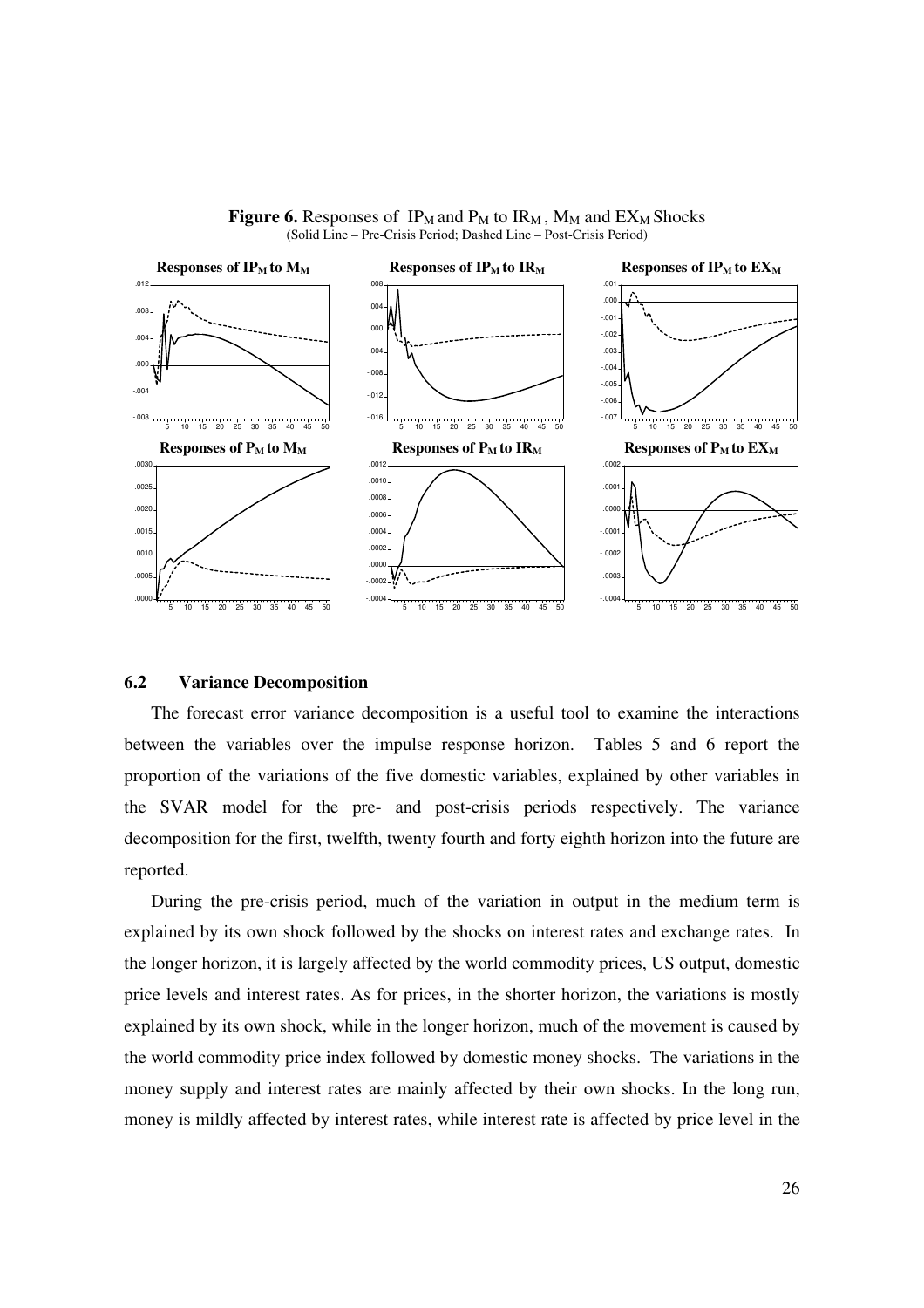



#### **6.2 Variance Decomposition**

The forecast error variance decomposition is a useful tool to examine the interactions between the variables over the impulse response horizon. Tables 5 and 6 report the proportion of the variations of the five domestic variables, explained by other variables in the SVAR model for the pre- and post-crisis periods respectively. The variance decomposition for the first, twelfth, twenty fourth and forty eighth horizon into the future are reported.

During the pre-crisis period, much of the variation in output in the medium term is explained by its own shock followed by the shocks on interest rates and exchange rates. In the longer horizon, it is largely affected by the world commodity prices, US output, domestic price levels and interest rates. As for prices, in the shorter horizon, the variations is mostly explained by its own shock, while in the longer horizon, much of the movement is caused by the world commodity price index followed by domestic money shocks. The variations in the money supply and interest rates are mainly affected by their own shocks. In the long run, money is mildly affected by interest rates, while interest rate is affected by price level in the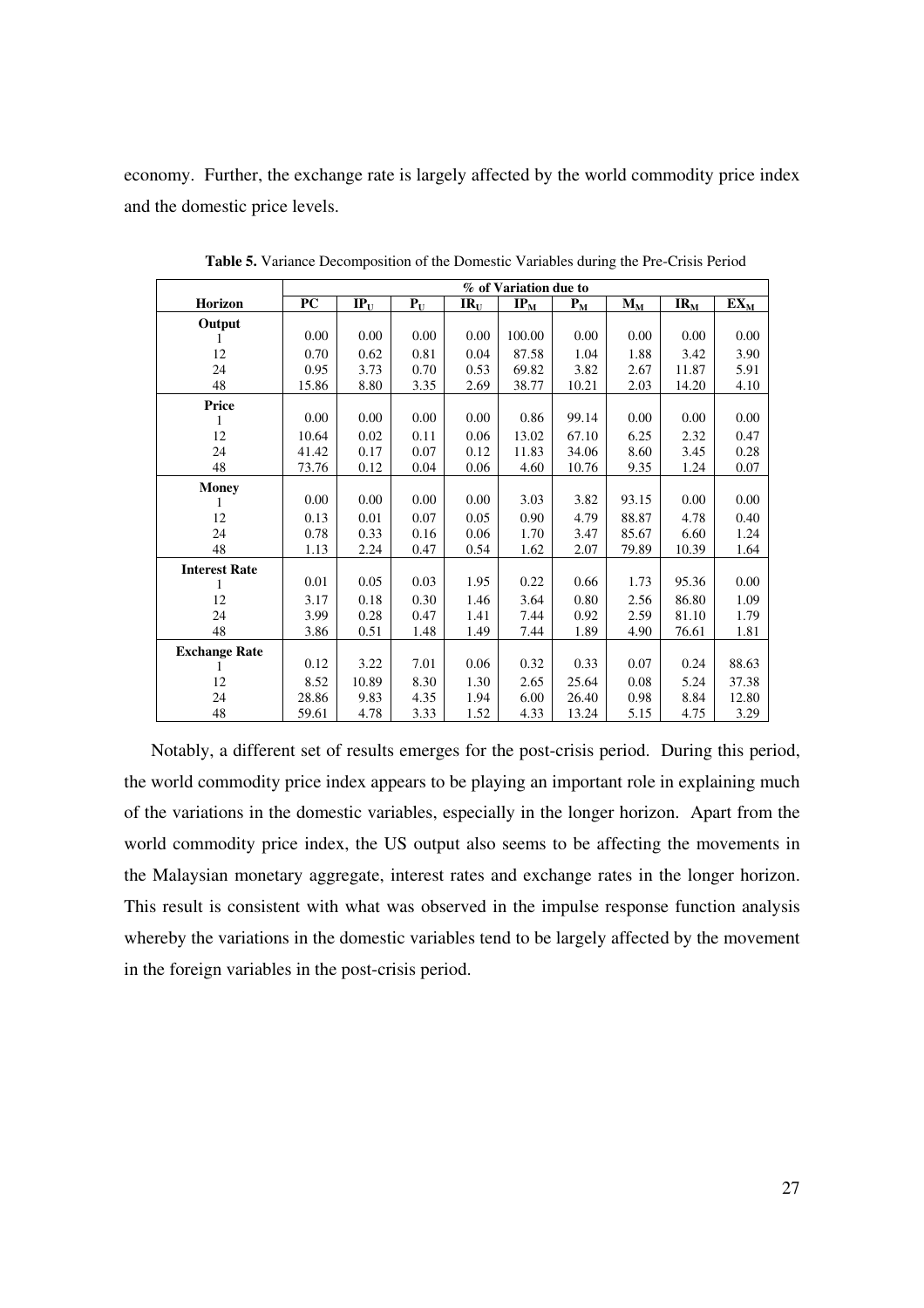economy. Further, the exchange rate is largely affected by the world commodity price index and the domestic price levels.

|                      | % of Variation due to |        |       |          |                            |       |                           |          |                            |
|----------------------|-----------------------|--------|-------|----------|----------------------------|-------|---------------------------|----------|----------------------------|
| Horizon              | PC                    | $IP_U$ | $P_U$ | $IR_{U}$ | $\mathbf{IP}_{\mathbf{M}}$ | $P_M$ | $\mathbf{M}_{\mathbf{M}}$ | $IR_{M}$ | $\mathbf{EX}_{\mathbf{M}}$ |
| Output               |                       |        |       |          |                            |       |                           |          |                            |
| 1                    | 0.00                  | 0.00   | 0.00  | 0.00     | 100.00                     | 0.00  | 0.00                      | 0.00     | 0.00                       |
| 12                   | 0.70                  | 0.62   | 0.81  | 0.04     | 87.58                      | 1.04  | 1.88                      | 3.42     | 3.90                       |
| 24                   | 0.95                  | 3.73   | 0.70  | 0.53     | 69.82                      | 3.82  | 2.67                      | 11.87    | 5.91                       |
| 48                   | 15.86                 | 8.80   | 3.35  | 2.69     | 38.77                      | 10.21 | 2.03                      | 14.20    | 4.10                       |
| <b>Price</b>         |                       |        |       |          |                            |       |                           |          |                            |
| 1                    | 0.00                  | 0.00   | 0.00  | 0.00     | 0.86                       | 99.14 | 0.00                      | 0.00     | 0.00                       |
| 12                   | 10.64                 | 0.02   | 0.11  | 0.06     | 13.02                      | 67.10 | 6.25                      | 2.32     | 0.47                       |
| 24                   | 41.42                 | 0.17   | 0.07  | 0.12     | 11.83                      | 34.06 | 8.60                      | 3.45     | 0.28                       |
| 48                   | 73.76                 | 0.12   | 0.04  | 0.06     | 4.60                       | 10.76 | 9.35                      | 1.24     | 0.07                       |
| <b>Money</b>         |                       |        |       |          |                            |       |                           |          |                            |
|                      | 0.00                  | 0.00   | 0.00  | 0.00     | 3.03                       | 3.82  | 93.15                     | 0.00     | 0.00                       |
| 12                   | 0.13                  | 0.01   | 0.07  | 0.05     | 0.90                       | 4.79  | 88.87                     | 4.78     | 0.40                       |
| 24                   | 0.78                  | 0.33   | 0.16  | 0.06     | 1.70                       | 3.47  | 85.67                     | 6.60     | 1.24                       |
| 48                   | 1.13                  | 2.24   | 0.47  | 0.54     | 1.62                       | 2.07  | 79.89                     | 10.39    | 1.64                       |
| <b>Interest Rate</b> |                       |        |       |          |                            |       |                           |          |                            |
| 1                    | 0.01                  | 0.05   | 0.03  | 1.95     | 0.22                       | 0.66  | 1.73                      | 95.36    | 0.00                       |
| 12                   | 3.17                  | 0.18   | 0.30  | 1.46     | 3.64                       | 0.80  | 2.56                      | 86.80    | 1.09                       |
| 24                   | 3.99                  | 0.28   | 0.47  | 1.41     | 7.44                       | 0.92  | 2.59                      | 81.10    | 1.79                       |
| 48                   | 3.86                  | 0.51   | 1.48  | 1.49     | 7.44                       | 1.89  | 4.90                      | 76.61    | 1.81                       |
| <b>Exchange Rate</b> |                       |        |       |          |                            |       |                           |          |                            |
|                      | 0.12                  | 3.22   | 7.01  | 0.06     | 0.32                       | 0.33  | 0.07                      | 0.24     | 88.63                      |
| 12                   | 8.52                  | 10.89  | 8.30  | 1.30     | 2.65                       | 25.64 | 0.08                      | 5.24     | 37.38                      |
| 24                   | 28.86                 | 9.83   | 4.35  | 1.94     | 6.00                       | 26.40 | 0.98                      | 8.84     | 12.80                      |
| 48                   | 59.61                 | 4.78   | 3.33  | 1.52     | 4.33                       | 13.24 | 5.15                      | 4.75     | 3.29                       |

**Table 5.** Variance Decomposition of the Domestic Variables during the Pre-Crisis Period

Notably, a different set of results emerges for the post-crisis period. During this period, the world commodity price index appears to be playing an important role in explaining much of the variations in the domestic variables, especially in the longer horizon. Apart from the world commodity price index, the US output also seems to be affecting the movements in the Malaysian monetary aggregate, interest rates and exchange rates in the longer horizon. This result is consistent with what was observed in the impulse response function analysis whereby the variations in the domestic variables tend to be largely affected by the movement in the foreign variables in the post-crisis period.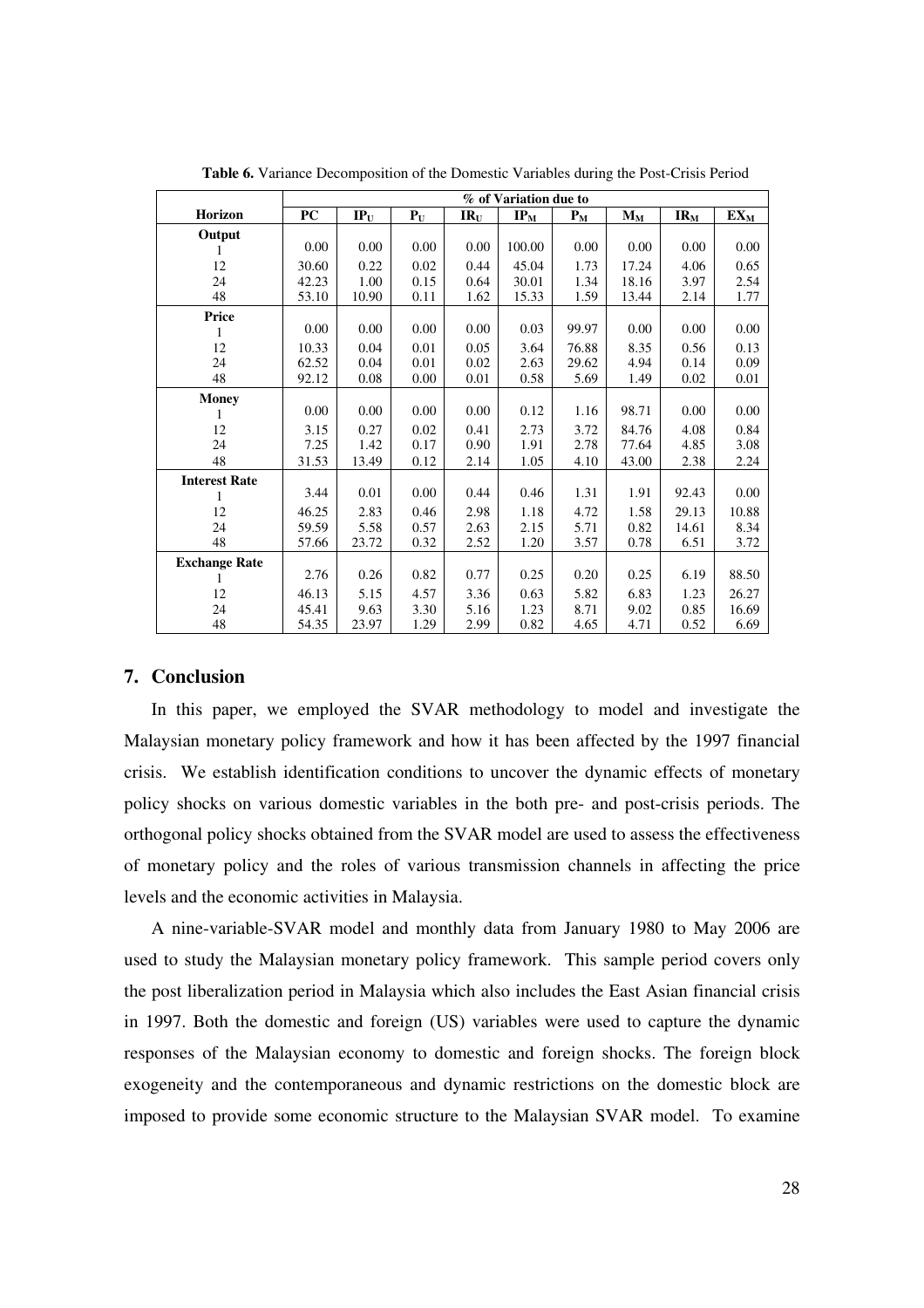|                      | % of Variation due to |        |       |                            |                                        |                                       |                         |          |        |
|----------------------|-----------------------|--------|-------|----------------------------|----------------------------------------|---------------------------------------|-------------------------|----------|--------|
| Horizon              | <b>PC</b>             | $IP_U$ | $P_U$ | $\mathbf{IR}_{\mathbf{U}}$ | $\mathbf{IP}_{\underline{\mathbf{M}}}$ | $\mathbf{P}_{\underline{\mathbf{M}}}$ | $\mathbf{M}_\mathbf{M}$ | $IR_{M}$ | $EX_M$ |
| Output               |                       |        |       |                            |                                        |                                       |                         |          |        |
|                      | 0.00                  | 0.00   | 0.00  | 0.00                       | 100.00                                 | 0.00                                  | 0.00                    | 0.00     | 0.00   |
| 12                   | 30.60                 | 0.22   | 0.02  | 0.44                       | 45.04                                  | 1.73                                  | 17.24                   | 4.06     | 0.65   |
| 24                   | 42.23                 | 1.00   | 0.15  | 0.64                       | 30.01                                  | 1.34                                  | 18.16                   | 3.97     | 2.54   |
| 48                   | 53.10                 | 10.90  | 0.11  | 1.62                       | 15.33                                  | 1.59                                  | 13.44                   | 2.14     | 1.77   |
| Price                |                       |        |       |                            |                                        |                                       |                         |          |        |
| 1                    | 0.00                  | 0.00   | 0.00  | 0.00                       | 0.03                                   | 99.97                                 | 0.00                    | 0.00     | 0.00   |
| 12                   | 10.33                 | 0.04   | 0.01  | 0.05                       | 3.64                                   | 76.88                                 | 8.35                    | 0.56     | 0.13   |
| 24                   | 62.52                 | 0.04   | 0.01  | 0.02                       | 2.63                                   | 29.62                                 | 4.94                    | 0.14     | 0.09   |
| 48                   | 92.12                 | 0.08   | 0.00  | 0.01                       | 0.58                                   | 5.69                                  | 1.49                    | 0.02     | 0.01   |
| <b>Money</b>         |                       |        |       |                            |                                        |                                       |                         |          |        |
|                      | 0.00                  | 0.00   | 0.00  | 0.00                       | 0.12                                   | 1.16                                  | 98.71                   | 0.00     | 0.00   |
| 12                   | 3.15                  | 0.27   | 0.02  | 0.41                       | 2.73                                   | 3.72                                  | 84.76                   | 4.08     | 0.84   |
| 24                   | 7.25                  | 1.42   | 0.17  | 0.90                       | 1.91                                   | 2.78                                  | 77.64                   | 4.85     | 3.08   |
| 48                   | 31.53                 | 13.49  | 0.12  | 2.14                       | 1.05                                   | 4.10                                  | 43.00                   | 2.38     | 2.24   |
| <b>Interest Rate</b> |                       |        |       |                            |                                        |                                       |                         |          |        |
| 1                    | 3.44                  | 0.01   | 0.00  | 0.44                       | 0.46                                   | 1.31                                  | 1.91                    | 92.43    | 0.00   |
| 12                   | 46.25                 | 2.83   | 0.46  | 2.98                       | 1.18                                   | 4.72                                  | 1.58                    | 29.13    | 10.88  |
| 24                   | 59.59                 | 5.58   | 0.57  | 2.63                       | 2.15                                   | 5.71                                  | 0.82                    | 14.61    | 8.34   |
| 48                   | 57.66                 | 23.72  | 0.32  | 2.52                       | 1.20                                   | 3.57                                  | 0.78                    | 6.51     | 3.72   |
| <b>Exchange Rate</b> |                       |        |       |                            |                                        |                                       |                         |          |        |
|                      | 2.76                  | 0.26   | 0.82  | 0.77                       | 0.25                                   | 0.20                                  | 0.25                    | 6.19     | 88.50  |
| 12                   | 46.13                 | 5.15   | 4.57  | 3.36                       | 0.63                                   | 5.82                                  | 6.83                    | 1.23     | 26.27  |
| 24                   | 45.41                 | 9.63   | 3.30  | 5.16                       | 1.23                                   | 8.71                                  | 9.02                    | 0.85     | 16.69  |
| 48                   | 54.35                 | 23.97  | 1.29  | 2.99                       | 0.82                                   | 4.65                                  | 4.71                    | 0.52     | 6.69   |

**Table 6.** Variance Decomposition of the Domestic Variables during the Post-Crisis Period

## **7. Conclusion**

In this paper, we employed the SVAR methodology to model and investigate the Malaysian monetary policy framework and how it has been affected by the 1997 financial crisis. We establish identification conditions to uncover the dynamic effects of monetary policy shocks on various domestic variables in the both pre- and post-crisis periods. The orthogonal policy shocks obtained from the SVAR model are used to assess the effectiveness of monetary policy and the roles of various transmission channels in affecting the price levels and the economic activities in Malaysia.

A nine-variable-SVAR model and monthly data from January 1980 to May 2006 are used to study the Malaysian monetary policy framework. This sample period covers only the post liberalization period in Malaysia which also includes the East Asian financial crisis in 1997. Both the domestic and foreign (US) variables were used to capture the dynamic responses of the Malaysian economy to domestic and foreign shocks. The foreign block exogeneity and the contemporaneous and dynamic restrictions on the domestic block are imposed to provide some economic structure to the Malaysian SVAR model. To examine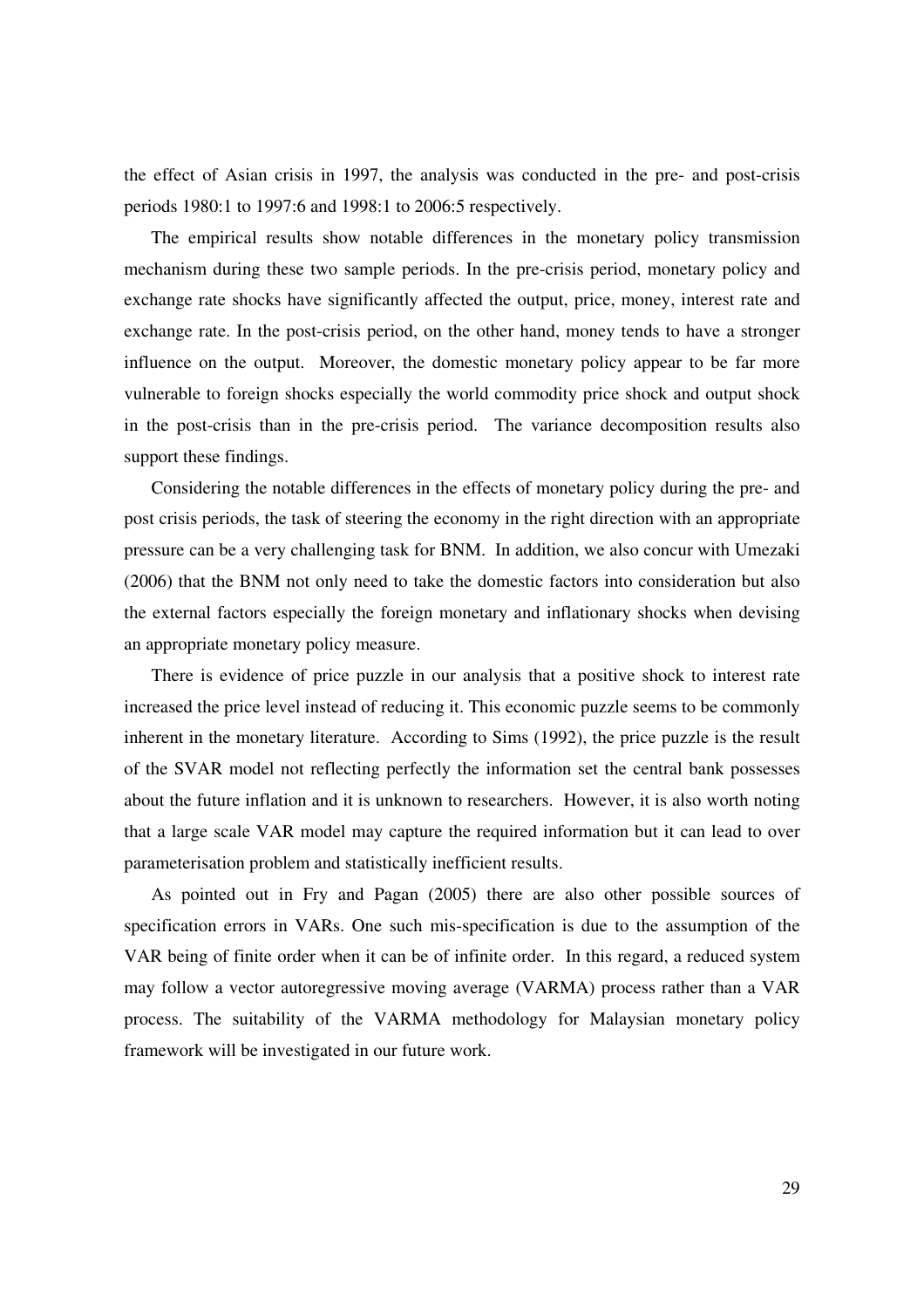the effect of Asian crisis in 1997, the analysis was conducted in the pre- and post-crisis periods 1980:1 to 1997:6 and 1998:1 to 2006:5 respectively.

The empirical results show notable differences in the monetary policy transmission mechanism during these two sample periods. In the pre-crisis period, monetary policy and exchange rate shocks have significantly affected the output, price, money, interest rate and exchange rate. In the post-crisis period, on the other hand, money tends to have a stronger influence on the output. Moreover, the domestic monetary policy appear to be far more vulnerable to foreign shocks especially the world commodity price shock and output shock in the post-crisis than in the pre-crisis period. The variance decomposition results also support these findings.

Considering the notable differences in the effects of monetary policy during the pre- and post crisis periods, the task of steering the economy in the right direction with an appropriate pressure can be a very challenging task for BNM. In addition, we also concur with Umezaki (2006) that the BNM not only need to take the domestic factors into consideration but also the external factors especially the foreign monetary and inflationary shocks when devising an appropriate monetary policy measure.

There is evidence of price puzzle in our analysis that a positive shock to interest rate increased the price level instead of reducing it. This economic puzzle seems to be commonly inherent in the monetary literature. According to Sims (1992), the price puzzle is the result of the SVAR model not reflecting perfectly the information set the central bank possesses about the future inflation and it is unknown to researchers. However, it is also worth noting that a large scale VAR model may capture the required information but it can lead to over parameterisation problem and statistically inefficient results.

As pointed out in Fry and Pagan (2005) there are also other possible sources of specification errors in VARs. One such mis-specification is due to the assumption of the VAR being of finite order when it can be of infinite order. In this regard, a reduced system may follow a vector autoregressive moving average (VARMA) process rather than a VAR process. The suitability of the VARMA methodology for Malaysian monetary policy framework will be investigated in our future work.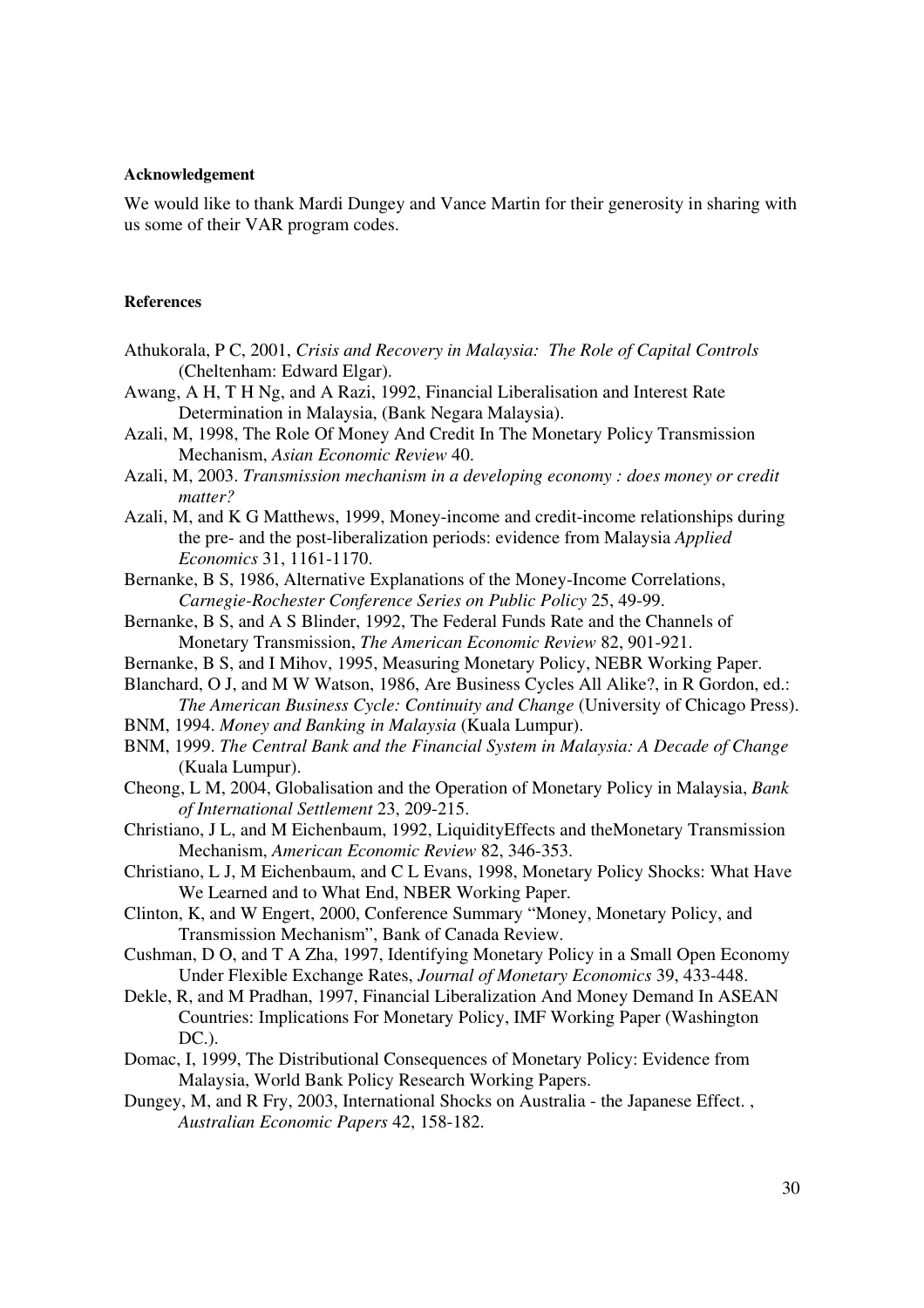#### **Acknowledgement**

We would like to thank Mardi Dungey and Vance Martin for their generosity in sharing with us some of their VAR program codes.

### **References**

- Athukorala, P C, 2001, *Crisis and Recovery in Malaysia: The Role of Capital Controls* (Cheltenham: Edward Elgar).
- Awang, A H, T H Ng, and A Razi, 1992, Financial Liberalisation and Interest Rate Determination in Malaysia, (Bank Negara Malaysia).
- Azali, M, 1998, The Role Of Money And Credit In The Monetary Policy Transmission Mechanism, *Asian Economic Review* 40.
- Azali, M, 2003. *Transmission mechanism in a developing economy : does money or credit matter?*
- Azali, M, and K G Matthews, 1999, Money-income and credit-income relationships during the pre- and the post-liberalization periods: evidence from Malaysia *Applied Economics* 31, 1161-1170.
- Bernanke, B S, 1986, Alternative Explanations of the Money-Income Correlations, *Carnegie-Rochester Conference Series on Public Policy* 25, 49-99.
- Bernanke, B S, and A S Blinder, 1992, The Federal Funds Rate and the Channels of Monetary Transmission, *The American Economic Review* 82, 901-921.
- Bernanke, B S, and I Mihov, 1995, Measuring Monetary Policy, NEBR Working Paper.
- Blanchard, O J, and M W Watson, 1986, Are Business Cycles All Alike?, in R Gordon, ed.: *The American Business Cycle: Continuity and Change* (University of Chicago Press).
- BNM, 1994. *Money and Banking in Malaysia* (Kuala Lumpur).
- BNM, 1999. *The Central Bank and the Financial System in Malaysia: A Decade of Change* (Kuala Lumpur).
- Cheong, L M, 2004, Globalisation and the Operation of Monetary Policy in Malaysia, *Bank of International Settlement* 23, 209-215.
- Christiano, J L, and M Eichenbaum, 1992, LiquidityEffects and theMonetary Transmission Mechanism, *American Economic Review* 82, 346-353.
- Christiano, L J, M Eichenbaum, and C L Evans, 1998, Monetary Policy Shocks: What Have We Learned and to What End, NBER Working Paper.
- Clinton, K, and W Engert, 2000, Conference Summary "Money, Monetary Policy, and Transmission Mechanism", Bank of Canada Review.
- Cushman, D O, and T A Zha, 1997, Identifying Monetary Policy in a Small Open Economy Under Flexible Exchange Rates, *Journal of Monetary Economics* 39, 433-448.
- Dekle, R, and M Pradhan, 1997, Financial Liberalization And Money Demand In ASEAN Countries: Implications For Monetary Policy, IMF Working Paper (Washington DC.).
- Domac, I, 1999, The Distributional Consequences of Monetary Policy: Evidence from Malaysia, World Bank Policy Research Working Papers.
- Dungey, M, and R Fry, 2003, International Shocks on Australia the Japanese Effect. , *Australian Economic Papers* 42, 158-182.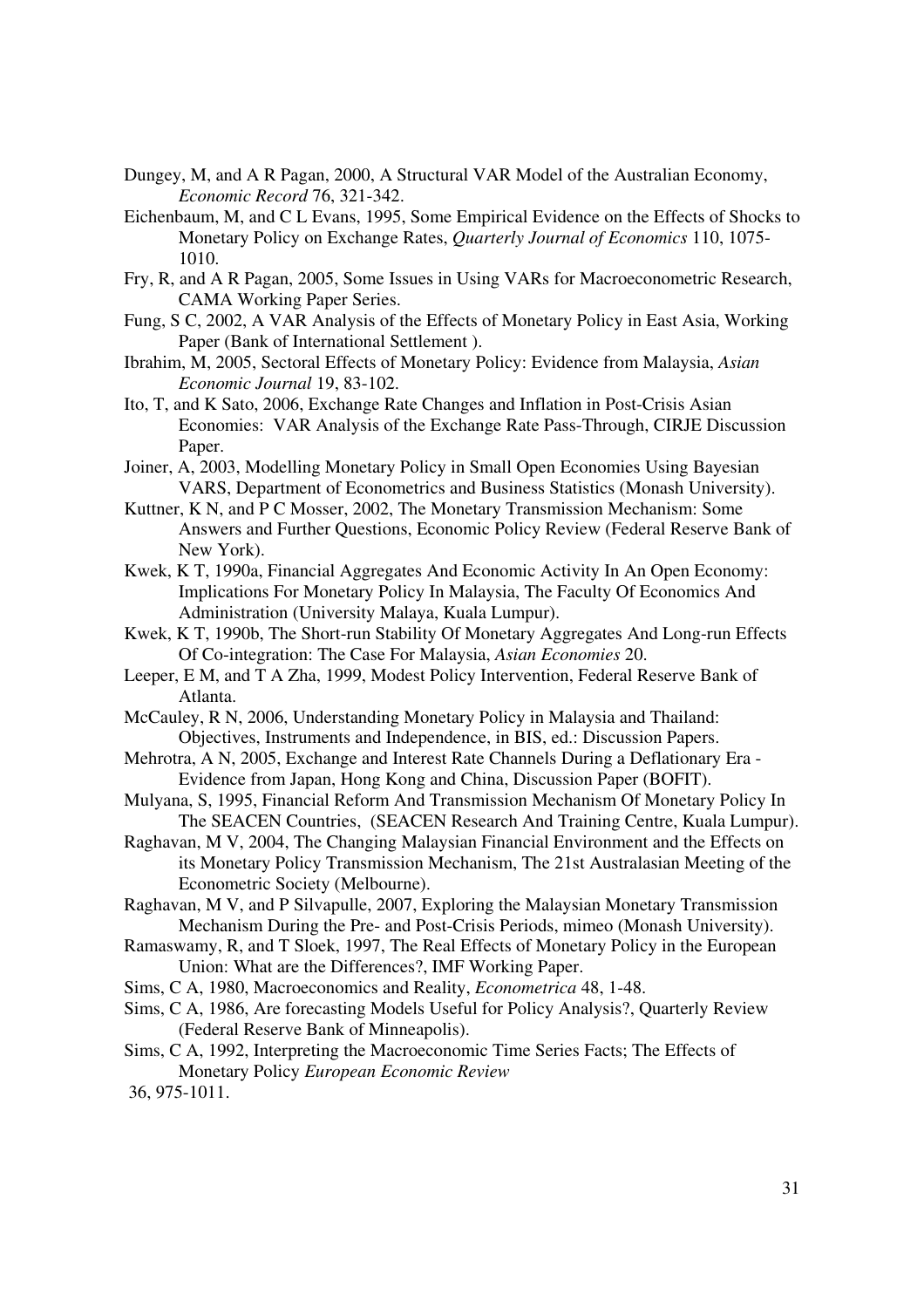- Dungey, M, and A R Pagan, 2000, A Structural VAR Model of the Australian Economy, *Economic Record* 76, 321-342.
- Eichenbaum, M, and C L Evans, 1995, Some Empirical Evidence on the Effects of Shocks to Monetary Policy on Exchange Rates, *Quarterly Journal of Economics* 110, 1075- 1010.
- Fry, R, and A R Pagan, 2005, Some Issues in Using VARs for Macroeconometric Research, CAMA Working Paper Series.
- Fung, S C, 2002, A VAR Analysis of the Effects of Monetary Policy in East Asia, Working Paper (Bank of International Settlement ).
- Ibrahim, M, 2005, Sectoral Effects of Monetary Policy: Evidence from Malaysia, *Asian Economic Journal* 19, 83-102.
- Ito, T, and K Sato, 2006, Exchange Rate Changes and Inflation in Post-Crisis Asian Economies: VAR Analysis of the Exchange Rate Pass-Through, CIRJE Discussion Paper.
- Joiner, A, 2003, Modelling Monetary Policy in Small Open Economies Using Bayesian VARS, Department of Econometrics and Business Statistics (Monash University).
- Kuttner, K N, and P C Mosser, 2002, The Monetary Transmission Mechanism: Some Answers and Further Questions, Economic Policy Review (Federal Reserve Bank of New York).
- Kwek, K T, 1990a, Financial Aggregates And Economic Activity In An Open Economy: Implications For Monetary Policy In Malaysia, The Faculty Of Economics And Administration (University Malaya, Kuala Lumpur).
- Kwek, K T, 1990b, The Short-run Stability Of Monetary Aggregates And Long-run Effects Of Co-integration: The Case For Malaysia, *Asian Economies* 20.
- Leeper, E M, and T A Zha, 1999, Modest Policy Intervention, Federal Reserve Bank of Atlanta.
- McCauley, R N, 2006, Understanding Monetary Policy in Malaysia and Thailand: Objectives, Instruments and Independence, in BIS, ed.: Discussion Papers.
- Mehrotra, A N, 2005, Exchange and Interest Rate Channels During a Deflationary Era Evidence from Japan, Hong Kong and China, Discussion Paper (BOFIT).
- Mulyana, S, 1995, Financial Reform And Transmission Mechanism Of Monetary Policy In The SEACEN Countries, (SEACEN Research And Training Centre, Kuala Lumpur).
- Raghavan, M V, 2004, The Changing Malaysian Financial Environment and the Effects on its Monetary Policy Transmission Mechanism, The 21st Australasian Meeting of the Econometric Society (Melbourne).
- Raghavan, M V, and P Silvapulle, 2007, Exploring the Malaysian Monetary Transmission Mechanism During the Pre- and Post-Crisis Periods, mimeo (Monash University).
- Ramaswamy, R, and T Sloek, 1997, The Real Effects of Monetary Policy in the European Union: What are the Differences?, IMF Working Paper.
- Sims, C A, 1980, Macroeconomics and Reality, *Econometrica* 48, 1-48.
- Sims, C A, 1986, Are forecasting Models Useful for Policy Analysis?, Quarterly Review (Federal Reserve Bank of Minneapolis).
- Sims, C A, 1992, Interpreting the Macroeconomic Time Series Facts; The Effects of Monetary Policy *European Economic Review*
- 36, 975-1011.